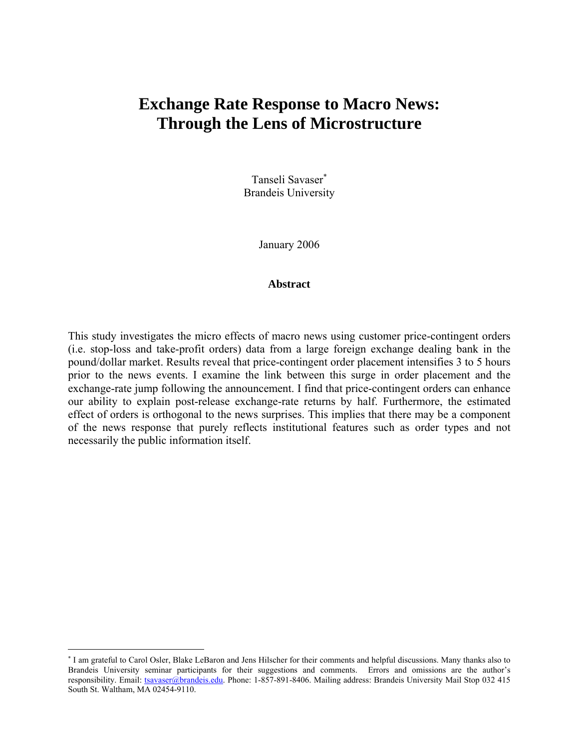# **Exchange Rate Response to Macro News: Through the Lens of Microstructure**

Tanseli Savaser<sup>\*</sup> Brandeis University

January 2006

#### **Abstract**

This study investigates the micro effects of macro news using customer price-contingent orders (i.e. stop-loss and take-profit orders) data from a large foreign exchange dealing bank in the pound/dollar market. Results reveal that price-contingent order placement intensifies 3 to 5 hours prior to the news events. I examine the link between this surge in order placement and the exchange-rate jump following the announcement. I find that price-contingent orders can enhance our ability to explain post-release exchange-rate returns by half. Furthermore, the estimated effect of orders is orthogonal to the news surprises. This implies that there may be a component of the news response that purely reflects institutional features such as order types and not necessarily the public information itself.

 $\overline{a}$ 

<sup>∗</sup> I am grateful to Carol Osler, Blake LeBaron and Jens Hilscher for their comments and helpful discussions. Many thanks also to Brandeis University seminar participants for their suggestions and comments. Errors and omissions are the author's responsibility. Email: tsavaser@brandeis.edu. Phone: 1-857-891-8406. Mailing address: Brandeis University Mail Stop 032 415 South St. Waltham, MA 02454-9110.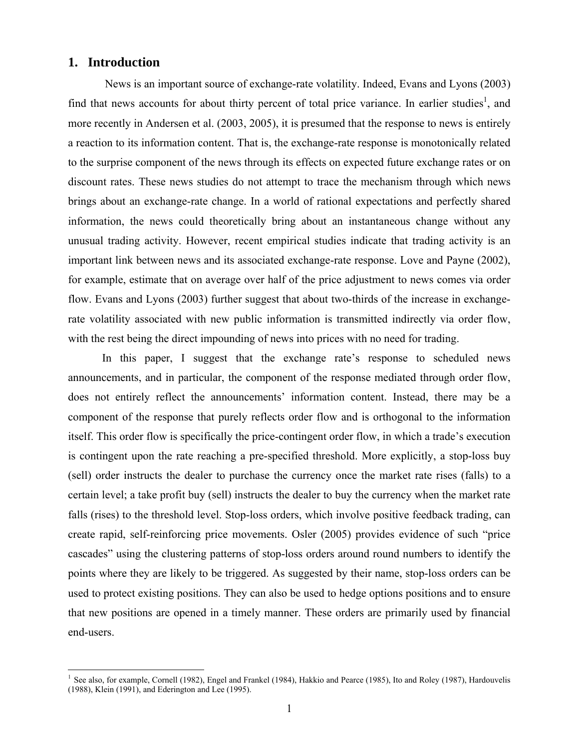# **1. Introduction**

 $\overline{a}$ 

 News is an important source of exchange-rate volatility. Indeed, Evans and Lyons (2003) find that news accounts for about thirty percent of total price variance. In earlier studies<sup>1</sup>, and more recently in Andersen et al. (2003, 2005), it is presumed that the response to news is entirely a reaction to its information content. That is, the exchange-rate response is monotonically related to the surprise component of the news through its effects on expected future exchange rates or on discount rates. These news studies do not attempt to trace the mechanism through which news brings about an exchange-rate change. In a world of rational expectations and perfectly shared information, the news could theoretically bring about an instantaneous change without any unusual trading activity. However, recent empirical studies indicate that trading activity is an important link between news and its associated exchange-rate response. Love and Payne (2002), for example, estimate that on average over half of the price adjustment to news comes via order flow. Evans and Lyons (2003) further suggest that about two-thirds of the increase in exchangerate volatility associated with new public information is transmitted indirectly via order flow, with the rest being the direct impounding of news into prices with no need for trading.

In this paper, I suggest that the exchange rate's response to scheduled news announcements, and in particular, the component of the response mediated through order flow, does not entirely reflect the announcements' information content. Instead, there may be a component of the response that purely reflects order flow and is orthogonal to the information itself. This order flow is specifically the price-contingent order flow, in which a trade's execution is contingent upon the rate reaching a pre-specified threshold. More explicitly, a stop-loss buy (sell) order instructs the dealer to purchase the currency once the market rate rises (falls) to a certain level; a take profit buy (sell) instructs the dealer to buy the currency when the market rate falls (rises) to the threshold level. Stop-loss orders, which involve positive feedback trading, can create rapid, self-reinforcing price movements. Osler (2005) provides evidence of such "price cascades" using the clustering patterns of stop-loss orders around round numbers to identify the points where they are likely to be triggered. As suggested by their name, stop-loss orders can be used to protect existing positions. They can also be used to hedge options positions and to ensure that new positions are opened in a timely manner. These orders are primarily used by financial end-users.

<sup>&</sup>lt;sup>1</sup> See also, for example, Cornell (1982), Engel and Frankel (1984), Hakkio and Pearce (1985), Ito and Roley (1987), Hardouvelis (1988), Klein (1991), and Ederington and Lee (1995).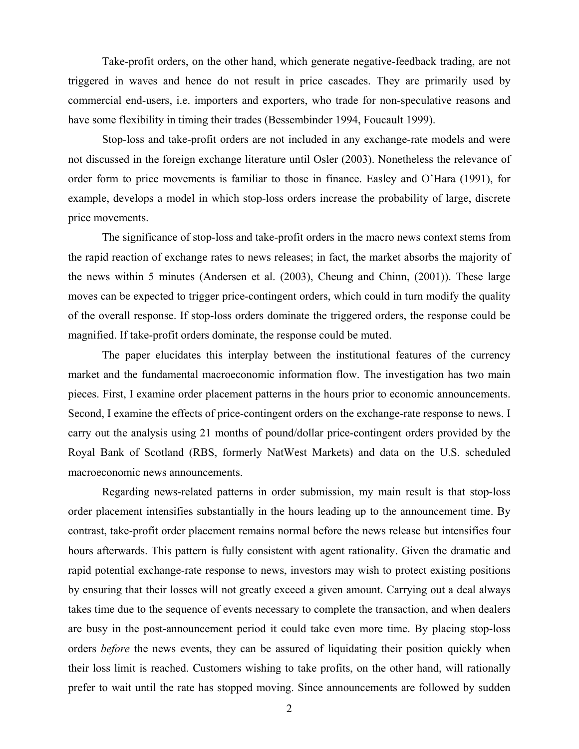Take-profit orders, on the other hand, which generate negative-feedback trading, are not triggered in waves and hence do not result in price cascades. They are primarily used by commercial end-users, i.e. importers and exporters, who trade for non-speculative reasons and have some flexibility in timing their trades (Bessembinder 1994, Foucault 1999).

Stop-loss and take-profit orders are not included in any exchange-rate models and were not discussed in the foreign exchange literature until Osler (2003). Nonetheless the relevance of order form to price movements is familiar to those in finance. Easley and O'Hara (1991), for example, develops a model in which stop-loss orders increase the probability of large, discrete price movements.

The significance of stop-loss and take-profit orders in the macro news context stems from the rapid reaction of exchange rates to news releases; in fact, the market absorbs the majority of the news within 5 minutes (Andersen et al. (2003), Cheung and Chinn, (2001)). These large moves can be expected to trigger price-contingent orders, which could in turn modify the quality of the overall response. If stop-loss orders dominate the triggered orders, the response could be magnified. If take-profit orders dominate, the response could be muted.

The paper elucidates this interplay between the institutional features of the currency market and the fundamental macroeconomic information flow. The investigation has two main pieces. First, I examine order placement patterns in the hours prior to economic announcements. Second, I examine the effects of price-contingent orders on the exchange-rate response to news. I carry out the analysis using 21 months of pound/dollar price-contingent orders provided by the Royal Bank of Scotland (RBS, formerly NatWest Markets) and data on the U.S. scheduled macroeconomic news announcements.

Regarding news-related patterns in order submission, my main result is that stop-loss order placement intensifies substantially in the hours leading up to the announcement time. By contrast, take-profit order placement remains normal before the news release but intensifies four hours afterwards. This pattern is fully consistent with agent rationality. Given the dramatic and rapid potential exchange-rate response to news, investors may wish to protect existing positions by ensuring that their losses will not greatly exceed a given amount. Carrying out a deal always takes time due to the sequence of events necessary to complete the transaction, and when dealers are busy in the post-announcement period it could take even more time. By placing stop-loss orders *before* the news events, they can be assured of liquidating their position quickly when their loss limit is reached. Customers wishing to take profits, on the other hand, will rationally prefer to wait until the rate has stopped moving. Since announcements are followed by sudden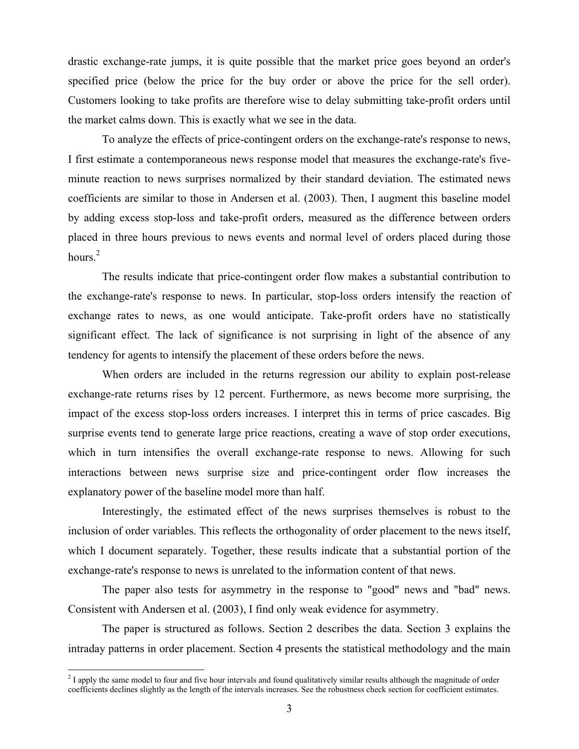drastic exchange-rate jumps, it is quite possible that the market price goes beyond an order's specified price (below the price for the buy order or above the price for the sell order). Customers looking to take profits are therefore wise to delay submitting take-profit orders until the market calms down. This is exactly what we see in the data.

To analyze the effects of price-contingent orders on the exchange-rate's response to news, I first estimate a contemporaneous news response model that measures the exchange-rate's fiveminute reaction to news surprises normalized by their standard deviation. The estimated news coefficients are similar to those in Andersen et al. (2003). Then, I augment this baseline model by adding excess stop-loss and take-profit orders, measured as the difference between orders placed in three hours previous to news events and normal level of orders placed during those hours. $<sup>2</sup>$ </sup>

The results indicate that price-contingent order flow makes a substantial contribution to the exchange-rate's response to news. In particular, stop-loss orders intensify the reaction of exchange rates to news, as one would anticipate. Take-profit orders have no statistically significant effect. The lack of significance is not surprising in light of the absence of any tendency for agents to intensify the placement of these orders before the news.

When orders are included in the returns regression our ability to explain post-release exchange-rate returns rises by 12 percent. Furthermore, as news become more surprising, the impact of the excess stop-loss orders increases. I interpret this in terms of price cascades. Big surprise events tend to generate large price reactions, creating a wave of stop order executions, which in turn intensifies the overall exchange-rate response to news. Allowing for such interactions between news surprise size and price-contingent order flow increases the explanatory power of the baseline model more than half.

Interestingly, the estimated effect of the news surprises themselves is robust to the inclusion of order variables. This reflects the orthogonality of order placement to the news itself, which I document separately. Together, these results indicate that a substantial portion of the exchange-rate's response to news is unrelated to the information content of that news.

The paper also tests for asymmetry in the response to "good" news and "bad" news. Consistent with Andersen et al. (2003), I find only weak evidence for asymmetry.

 The paper is structured as follows. Section 2 describes the data. Section 3 explains the intraday patterns in order placement. Section 4 presents the statistical methodology and the main

 $\overline{a}$ 

 $2<sup>2</sup>$  I apply the same model to four and five hour intervals and found qualitatively similar results although the magnitude of order coefficients declines slightly as the length of the intervals increases. See the robustness check section for coefficient estimates.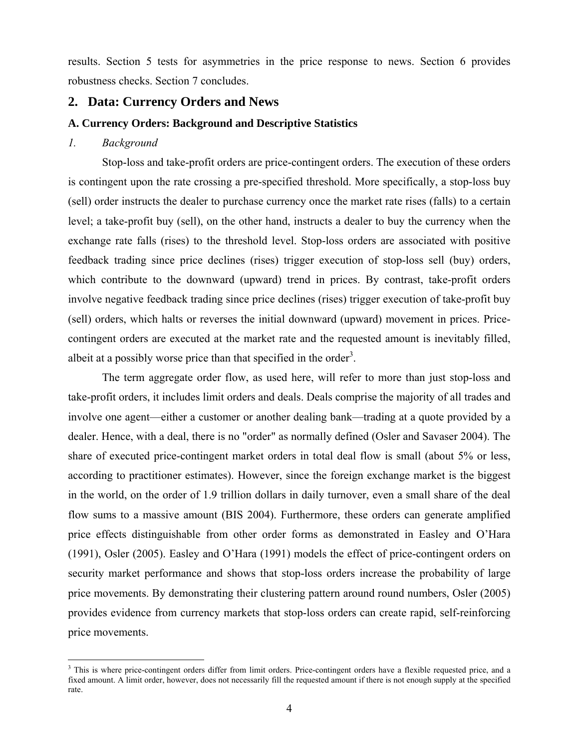results. Section 5 tests for asymmetries in the price response to news. Section 6 provides robustness checks. Section 7 concludes.

# **2. Data: Currency Orders and News**

# **A. Currency Orders: Background and Descriptive Statistics**

# *1. Background*

1

Stop-loss and take-profit orders are price-contingent orders. The execution of these orders is contingent upon the rate crossing a pre-specified threshold. More specifically, a stop-loss buy (sell) order instructs the dealer to purchase currency once the market rate rises (falls) to a certain level; a take-profit buy (sell), on the other hand, instructs a dealer to buy the currency when the exchange rate falls (rises) to the threshold level. Stop-loss orders are associated with positive feedback trading since price declines (rises) trigger execution of stop-loss sell (buy) orders, which contribute to the downward (upward) trend in prices. By contrast, take-profit orders involve negative feedback trading since price declines (rises) trigger execution of take-profit buy (sell) orders, which halts or reverses the initial downward (upward) movement in prices. Pricecontingent orders are executed at the market rate and the requested amount is inevitably filled, albeit at a possibly worse price than that specified in the order<sup>3</sup>.

The term aggregate order flow, as used here, will refer to more than just stop-loss and take-profit orders, it includes limit orders and deals. Deals comprise the majority of all trades and involve one agent—either a customer or another dealing bank—trading at a quote provided by a dealer. Hence, with a deal, there is no "order" as normally defined (Osler and Savaser 2004). The share of executed price-contingent market orders in total deal flow is small (about 5% or less, according to practitioner estimates). However, since the foreign exchange market is the biggest in the world, on the order of 1.9 trillion dollars in daily turnover, even a small share of the deal flow sums to a massive amount (BIS 2004). Furthermore, these orders can generate amplified price effects distinguishable from other order forms as demonstrated in Easley and O'Hara (1991), Osler (2005). Easley and O'Hara (1991) models the effect of price-contingent orders on security market performance and shows that stop-loss orders increase the probability of large price movements. By demonstrating their clustering pattern around round numbers, Osler (2005) provides evidence from currency markets that stop-loss orders can create rapid, self-reinforcing price movements.

<sup>&</sup>lt;sup>3</sup> This is where price-contingent orders differ from limit orders. Price-contingent orders have a flexible requested price, and a fixed amount. A limit order, however, does not necessarily fill the requested amount if there is not enough supply at the specified rate.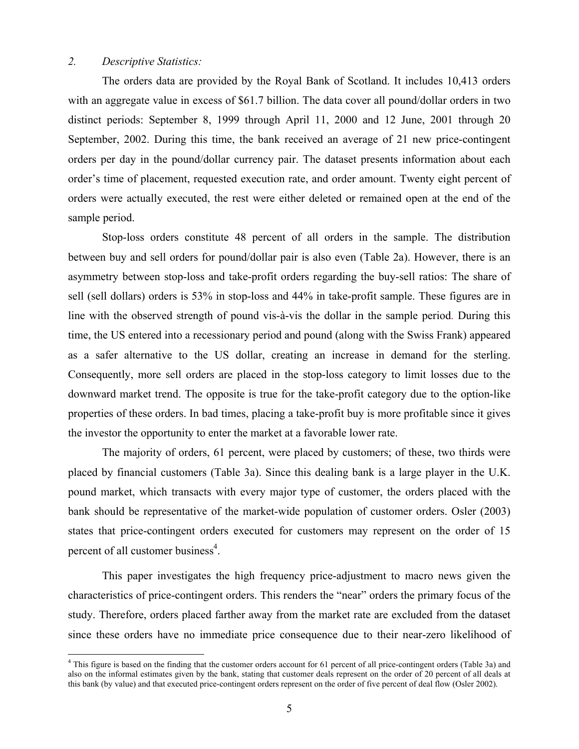# *2. Descriptive Statistics:*

The orders data are provided by the Royal Bank of Scotland. It includes 10,413 orders with an aggregate value in excess of \$61.7 billion. The data cover all pound/dollar orders in two distinct periods: September 8, 1999 through April 11, 2000 and 12 June, 2001 through 20 September, 2002. During this time, the bank received an average of 21 new price-contingent orders per day in the pound/dollar currency pair. The dataset presents information about each order's time of placement, requested execution rate, and order amount. Twenty eight percent of orders were actually executed, the rest were either deleted or remained open at the end of the sample period.

Stop-loss orders constitute 48 percent of all orders in the sample. The distribution between buy and sell orders for pound/dollar pair is also even (Table 2a). However, there is an asymmetry between stop-loss and take-profit orders regarding the buy-sell ratios: The share of sell (sell dollars) orders is 53% in stop-loss and 44% in take-profit sample. These figures are in line with the observed strength of pound vis-à-vis the dollar in the sample period. During this time, the US entered into a recessionary period and pound (along with the Swiss Frank) appeared as a safer alternative to the US dollar, creating an increase in demand for the sterling. Consequently, more sell orders are placed in the stop-loss category to limit losses due to the downward market trend. The opposite is true for the take-profit category due to the option-like properties of these orders. In bad times, placing a take-profit buy is more profitable since it gives the investor the opportunity to enter the market at a favorable lower rate.

The majority of orders, 61 percent, were placed by customers; of these, two thirds were placed by financial customers (Table 3a). Since this dealing bank is a large player in the U.K. pound market, which transacts with every major type of customer, the orders placed with the bank should be representative of the market-wide population of customer orders. Osler (2003) states that price-contingent orders executed for customers may represent on the order of 15 percent of all customer business<sup>4</sup>.

This paper investigates the high frequency price-adjustment to macro news given the characteristics of price-contingent orders. This renders the "near" orders the primary focus of the study. Therefore, orders placed farther away from the market rate are excluded from the dataset since these orders have no immediate price consequence due to their near-zero likelihood of

This figure is based on the finding that the customer orders account for 61 percent of all price-contingent orders (Table 3a) and <sup>4</sup> This figure is based on the finding that the customer orders account for 61 percent of a also on the informal estimates given by the bank, stating that customer deals represent on the order of 20 percent of all deals at this bank (by value) and that executed price-contingent orders represent on the order of five percent of deal flow (Osler 2002).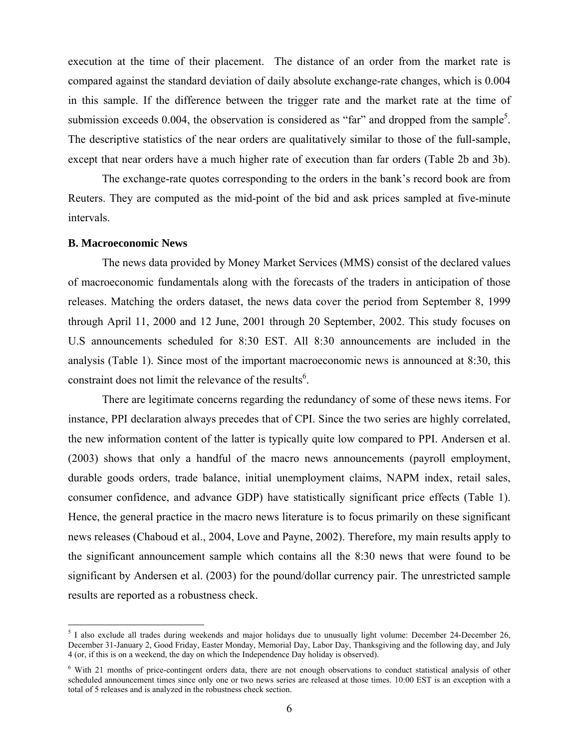execution at the time of their placement. The distance of an order from the market rate is compared against the standard deviation of daily absolute exchange-rate changes, which is 0.004 in this sample. If the difference between the trigger rate and the market rate at the time of submission exceeds 0.004, the observation is considered as "far" and dropped from the sample<sup>5</sup>. The descriptive statistics of the near orders are qualitatively similar to those of the full-sample, except that near orders have a much higher rate of execution than far orders (Table 2b and 3b).

 The exchange-rate quotes corresponding to the orders in the bank's record book are from Reuters. They are computed as the mid-point of the bid and ask prices sampled at five-minute intervals.

#### **B. Macroeconomic News**

 $\overline{a}$ 

 The news data provided by Money Market Services (MMS) consist of the declared values of macroeconomic fundamentals along with the forecasts of the traders in anticipation of those releases. Matching the orders dataset, the news data cover the period from September 8, 1999 through April 11, 2000 and 12 June, 2001 through 20 September, 2002. This study focuses on U.S announcements scheduled for 8:30 EST. All 8:30 announcements are included in the analysis (Table 1). Since most of the important macroeconomic news is announced at 8:30, this constraint does not limit the relevance of the results<sup>6</sup>.

There are legitimate concerns regarding the redundancy of some of these news items. For instance, PPI declaration always precedes that of CPI. Since the two series are highly correlated, the new information content of the latter is typically quite low compared to PPI. Andersen et al. (2003) shows that only a handful of the macro news announcements (payroll employment, durable goods orders, trade balance, initial unemployment claims, NAPM index, retail sales, consumer confidence, and advance GDP) have statistically significant price effects (Table 1). Hence, the general practice in the macro news literature is to focus primarily on these significant news releases (Chaboud et al., 2004, Love and Payne, 2002). Therefore, my main results apply to the significant announcement sample which contains all the 8:30 news that were found to be significant by Andersen et al. (2003) for the pound/dollar currency pair. The unrestricted sample results are reported as a robustness check.

 $<sup>5</sup>$  I also exclude all trades during weekends and major holidays due to unusually light volume: December 24-December 26,</sup> December 31-January 2, Good Friday, Easter Monday, Memorial Day, Labor Day, Thanksgiving and the following day, and July 4 (or, if this is on a weekend, the day on which the Independence Day holiday is observed).

<sup>&</sup>lt;sup>6</sup> With 21 months of price-contingent orders data, there are not enough observations to conduct statistical analysis of other scheduled announcement times since only one or two news series are released at those times. 10:00 EST is an exception with a total of 5 releases and is analyzed in the robustness check section.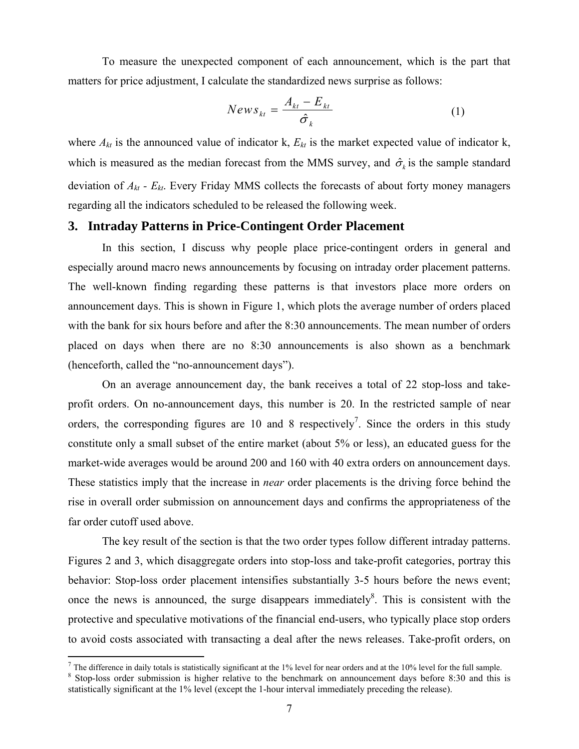To measure the unexpected component of each announcement, which is the part that matters for price adjustment, I calculate the standardized news surprise as follows:

$$
News_{kt} = \frac{A_{kt} - E_{kt}}{\hat{\sigma}_k}
$$
 (1)

where  $A_{kt}$  is the announced value of indicator k,  $E_{kt}$  is the market expected value of indicator k, which is measured as the median forecast from the MMS survey, and  $\hat{\sigma}_k$  is the sample standard deviation of  $A_{kt}$  -  $E_{kt}$ . Every Friday MMS collects the forecasts of about forty money managers regarding all the indicators scheduled to be released the following week.

# **3. Intraday Patterns in Price-Contingent Order Placement**

In this section, I discuss why people place price-contingent orders in general and especially around macro news announcements by focusing on intraday order placement patterns. The well-known finding regarding these patterns is that investors place more orders on announcement days. This is shown in Figure 1, which plots the average number of orders placed with the bank for six hours before and after the 8:30 announcements. The mean number of orders placed on days when there are no 8:30 announcements is also shown as a benchmark (henceforth, called the "no-announcement days").

On an average announcement day, the bank receives a total of 22 stop-loss and takeprofit orders. On no-announcement days, this number is 20. In the restricted sample of near orders, the corresponding figures are 10 and 8 respectively<sup>7</sup>. Since the orders in this study constitute only a small subset of the entire market (about 5% or less), an educated guess for the market-wide averages would be around 200 and 160 with 40 extra orders on announcement days. These statistics imply that the increase in *near* order placements is the driving force behind the rise in overall order submission on announcement days and confirms the appropriateness of the far order cutoff used above.

The key result of the section is that the two order types follow different intraday patterns. Figures 2 and 3, which disaggregate orders into stop-loss and take-profit categories, portray this behavior: Stop-loss order placement intensifies substantially 3-5 hours before the news event; once the news is announced, the surge disappears immediately $\delta$ . This is consistent with the protective and speculative motivations of the financial end-users, who typically place stop orders to avoid costs associated with transacting a deal after the news releases. Take-profit orders, on

 $\overline{a}$ 

<sup>&</sup>lt;sup>7</sup> The difference in daily totals is statistically significant at the 1% level for near orders and at the 10% level for the full sample.  $8$  Stop level or approximately a proportional statistics  $8 \times 10^8$  and the statis

<sup>&</sup>lt;sup>8</sup> Stop-loss order submission is higher relative to the benchmark on announcement days before 8:30 and this is statistically significant at the 1% level (except the 1-hour interval immediately preceding the release).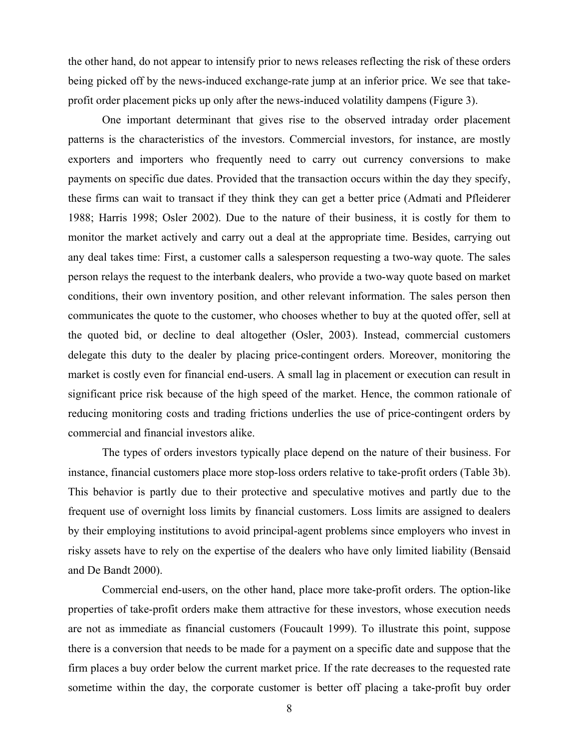the other hand, do not appear to intensify prior to news releases reflecting the risk of these orders being picked off by the news-induced exchange-rate jump at an inferior price. We see that takeprofit order placement picks up only after the news-induced volatility dampens (Figure 3).

One important determinant that gives rise to the observed intraday order placement patterns is the characteristics of the investors. Commercial investors, for instance, are mostly exporters and importers who frequently need to carry out currency conversions to make payments on specific due dates. Provided that the transaction occurs within the day they specify, these firms can wait to transact if they think they can get a better price (Admati and Pfleiderer 1988; Harris 1998; Osler 2002). Due to the nature of their business, it is costly for them to monitor the market actively and carry out a deal at the appropriate time. Besides, carrying out any deal takes time: First, a customer calls a salesperson requesting a two-way quote. The sales person relays the request to the interbank dealers, who provide a two-way quote based on market conditions, their own inventory position, and other relevant information. The sales person then communicates the quote to the customer, who chooses whether to buy at the quoted offer, sell at the quoted bid, or decline to deal altogether (Osler, 2003). Instead, commercial customers delegate this duty to the dealer by placing price-contingent orders. Moreover, monitoring the market is costly even for financial end-users. A small lag in placement or execution can result in significant price risk because of the high speed of the market. Hence, the common rationale of reducing monitoring costs and trading frictions underlies the use of price-contingent orders by commercial and financial investors alike.

The types of orders investors typically place depend on the nature of their business. For instance, financial customers place more stop-loss orders relative to take-profit orders (Table 3b). This behavior is partly due to their protective and speculative motives and partly due to the frequent use of overnight loss limits by financial customers. Loss limits are assigned to dealers by their employing institutions to avoid principal-agent problems since employers who invest in risky assets have to rely on the expertise of the dealers who have only limited liability (Bensaid and De Bandt 2000).

Commercial end-users, on the other hand, place more take-profit orders. The option-like properties of take-profit orders make them attractive for these investors, whose execution needs are not as immediate as financial customers (Foucault 1999). To illustrate this point, suppose there is a conversion that needs to be made for a payment on a specific date and suppose that the firm places a buy order below the current market price. If the rate decreases to the requested rate sometime within the day, the corporate customer is better off placing a take-profit buy order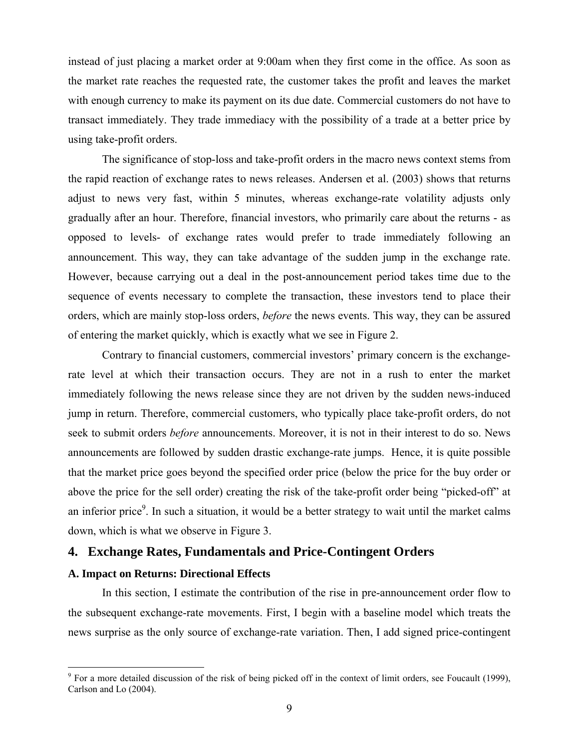instead of just placing a market order at 9:00am when they first come in the office. As soon as the market rate reaches the requested rate, the customer takes the profit and leaves the market with enough currency to make its payment on its due date. Commercial customers do not have to transact immediately. They trade immediacy with the possibility of a trade at a better price by using take-profit orders.

The significance of stop-loss and take-profit orders in the macro news context stems from the rapid reaction of exchange rates to news releases. Andersen et al. (2003) shows that returns adjust to news very fast, within 5 minutes, whereas exchange-rate volatility adjusts only gradually after an hour. Therefore, financial investors, who primarily care about the returns - as opposed to levels- of exchange rates would prefer to trade immediately following an announcement. This way, they can take advantage of the sudden jump in the exchange rate. However, because carrying out a deal in the post-announcement period takes time due to the sequence of events necessary to complete the transaction, these investors tend to place their orders, which are mainly stop-loss orders, *before* the news events. This way, they can be assured of entering the market quickly, which is exactly what we see in Figure 2.

Contrary to financial customers, commercial investors' primary concern is the exchangerate level at which their transaction occurs. They are not in a rush to enter the market immediately following the news release since they are not driven by the sudden news-induced jump in return. Therefore, commercial customers, who typically place take-profit orders, do not seek to submit orders *before* announcements. Moreover, it is not in their interest to do so. News announcements are followed by sudden drastic exchange-rate jumps. Hence, it is quite possible that the market price goes beyond the specified order price (below the price for the buy order or above the price for the sell order) creating the risk of the take-profit order being "picked-off" at an inferior price<sup>9</sup>. In such a situation, it would be a better strategy to wait until the market calms down, which is what we observe in Figure 3.

# **4. Exchange Rates, Fundamentals and Price-Contingent Orders**

# **A. Impact on Returns: Directional Effects**

 $\overline{a}$ 

In this section, I estimate the contribution of the rise in pre-announcement order flow to the subsequent exchange-rate movements. First, I begin with a baseline model which treats the news surprise as the only source of exchange-rate variation. Then, I add signed price-contingent

 $9^9$  For a more detailed discussion of the risk of being picked off in the context of limit orders, see Foucault (1999), Carlson and Lo (2004).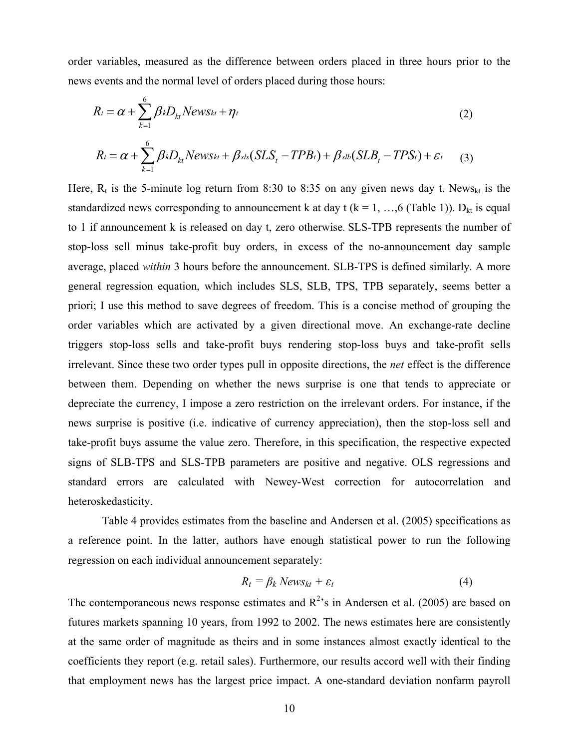order variables, measured as the difference between orders placed in three hours prior to the news events and the normal level of orders placed during those hours:

$$
R_t = \alpha + \sum_{k=1}^{6} \beta_k D_{kt} N ews_{kt} + \eta_t
$$
 (2)

$$
R_t = \alpha + \sum_{k=1}^{6} \beta_k D_{kt} N ews_{kt} + \beta_{sls} (SLS_t - TPB_t) + \beta_{slb} (SLB_t - TPS_t) + \varepsilon_t
$$
 (3)

Here,  $R_t$  is the 5-minute log return from 8:30 to 8:35 on any given news day t. News<sub>kt</sub> is the standardized news corresponding to announcement k at day t ( $k = 1, ..., 6$  (Table 1)).  $D_{kt}$  is equal to 1 if announcement k is released on day t, zero otherwise. SLS-TPB represents the number of stop-loss sell minus take-profit buy orders, in excess of the no-announcement day sample average, placed *within* 3 hours before the announcement. SLB-TPS is defined similarly. A more general regression equation, which includes SLS, SLB, TPS, TPB separately, seems better a priori; I use this method to save degrees of freedom. This is a concise method of grouping the order variables which are activated by a given directional move. An exchange-rate decline triggers stop-loss sells and take-profit buys rendering stop-loss buys and take-profit sells irrelevant. Since these two order types pull in opposite directions, the *net* effect is the difference between them. Depending on whether the news surprise is one that tends to appreciate or depreciate the currency, I impose a zero restriction on the irrelevant orders. For instance, if the news surprise is positive (i.e. indicative of currency appreciation), then the stop-loss sell and take-profit buys assume the value zero. Therefore, in this specification, the respective expected signs of SLB-TPS and SLS-TPB parameters are positive and negative. OLS regressions and standard errors are calculated with Newey-West correction for autocorrelation and heteroskedasticity.

Table 4 provides estimates from the baseline and Andersen et al. (2005) specifications as a reference point. In the latter, authors have enough statistical power to run the following regression on each individual announcement separately:

$$
R_t = \beta_k \, News_{kt} + \varepsilon_t \tag{4}
$$

The contemporaneous news response estimates and  $R^2$ 's in Andersen et al. (2005) are based on futures markets spanning 10 years, from 1992 to 2002. The news estimates here are consistently at the same order of magnitude as theirs and in some instances almost exactly identical to the coefficients they report (e.g. retail sales). Furthermore, our results accord well with their finding that employment news has the largest price impact. A one-standard deviation nonfarm payroll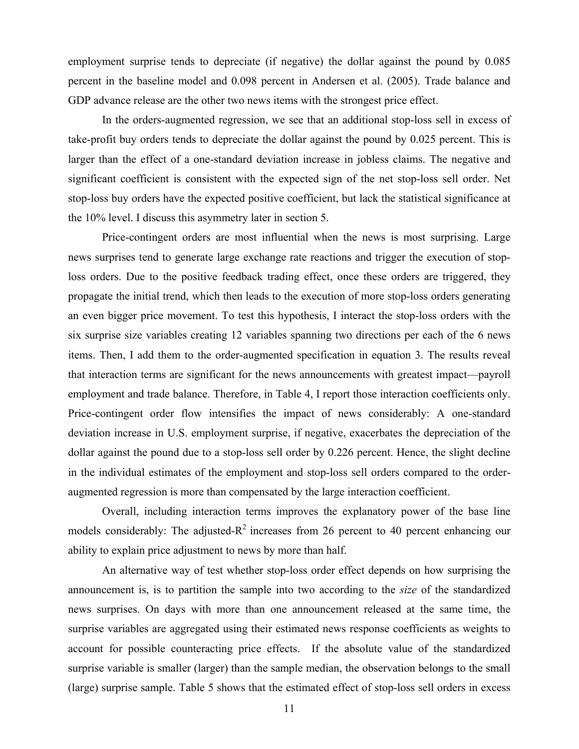employment surprise tends to depreciate (if negative) the dollar against the pound by 0.085 percent in the baseline model and 0.098 percent in Andersen et al. (2005). Trade balance and GDP advance release are the other two news items with the strongest price effect.

In the orders-augmented regression, we see that an additional stop-loss sell in excess of take-profit buy orders tends to depreciate the dollar against the pound by 0.025 percent. This is larger than the effect of a one-standard deviation increase in jobless claims. The negative and significant coefficient is consistent with the expected sign of the net stop-loss sell order. Net stop-loss buy orders have the expected positive coefficient, but lack the statistical significance at the 10% level. I discuss this asymmetry later in section 5.

Price-contingent orders are most influential when the news is most surprising. Large news surprises tend to generate large exchange rate reactions and trigger the execution of stoploss orders. Due to the positive feedback trading effect, once these orders are triggered, they propagate the initial trend, which then leads to the execution of more stop-loss orders generating an even bigger price movement. To test this hypothesis, I interact the stop-loss orders with the six surprise size variables creating 12 variables spanning two directions per each of the 6 news items. Then, I add them to the order-augmented specification in equation 3. The results reveal that interaction terms are significant for the news announcements with greatest impact—payroll employment and trade balance. Therefore, in Table 4, I report those interaction coefficients only. Price-contingent order flow intensifies the impact of news considerably: A one-standard deviation increase in U.S. employment surprise, if negative, exacerbates the depreciation of the dollar against the pound due to a stop-loss sell order by 0.226 percent. Hence, the slight decline in the individual estimates of the employment and stop-loss sell orders compared to the orderaugmented regression is more than compensated by the large interaction coefficient.

Overall, including interaction terms improves the explanatory power of the base line models considerably: The adjusted- $R^2$  increases from 26 percent to 40 percent enhancing our ability to explain price adjustment to news by more than half.

An alternative way of test whether stop-loss order effect depends on how surprising the announcement is, is to partition the sample into two according to the *size* of the standardized news surprises. On days with more than one announcement released at the same time, the surprise variables are aggregated using their estimated news response coefficients as weights to account for possible counteracting price effects. If the absolute value of the standardized surprise variable is smaller (larger) than the sample median, the observation belongs to the small (large) surprise sample. Table 5 shows that the estimated effect of stop-loss sell orders in excess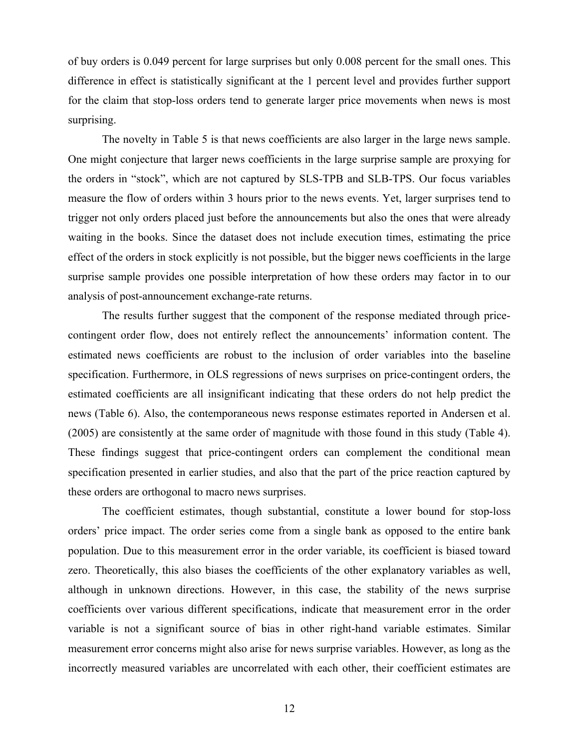of buy orders is 0.049 percent for large surprises but only 0.008 percent for the small ones. This difference in effect is statistically significant at the 1 percent level and provides further support for the claim that stop-loss orders tend to generate larger price movements when news is most surprising.

The novelty in Table 5 is that news coefficients are also larger in the large news sample. One might conjecture that larger news coefficients in the large surprise sample are proxying for the orders in "stock", which are not captured by SLS-TPB and SLB-TPS. Our focus variables measure the flow of orders within 3 hours prior to the news events. Yet, larger surprises tend to trigger not only orders placed just before the announcements but also the ones that were already waiting in the books. Since the dataset does not include execution times, estimating the price effect of the orders in stock explicitly is not possible, but the bigger news coefficients in the large surprise sample provides one possible interpretation of how these orders may factor in to our analysis of post-announcement exchange-rate returns.

The results further suggest that the component of the response mediated through pricecontingent order flow, does not entirely reflect the announcements' information content. The estimated news coefficients are robust to the inclusion of order variables into the baseline specification. Furthermore, in OLS regressions of news surprises on price-contingent orders, the estimated coefficients are all insignificant indicating that these orders do not help predict the news (Table 6). Also, the contemporaneous news response estimates reported in Andersen et al. (2005) are consistently at the same order of magnitude with those found in this study (Table 4). These findings suggest that price-contingent orders can complement the conditional mean specification presented in earlier studies, and also that the part of the price reaction captured by these orders are orthogonal to macro news surprises.

The coefficient estimates, though substantial, constitute a lower bound for stop-loss orders' price impact. The order series come from a single bank as opposed to the entire bank population. Due to this measurement error in the order variable, its coefficient is biased toward zero. Theoretically, this also biases the coefficients of the other explanatory variables as well, although in unknown directions. However, in this case, the stability of the news surprise coefficients over various different specifications, indicate that measurement error in the order variable is not a significant source of bias in other right-hand variable estimates. Similar measurement error concerns might also arise for news surprise variables. However, as long as the incorrectly measured variables are uncorrelated with each other, their coefficient estimates are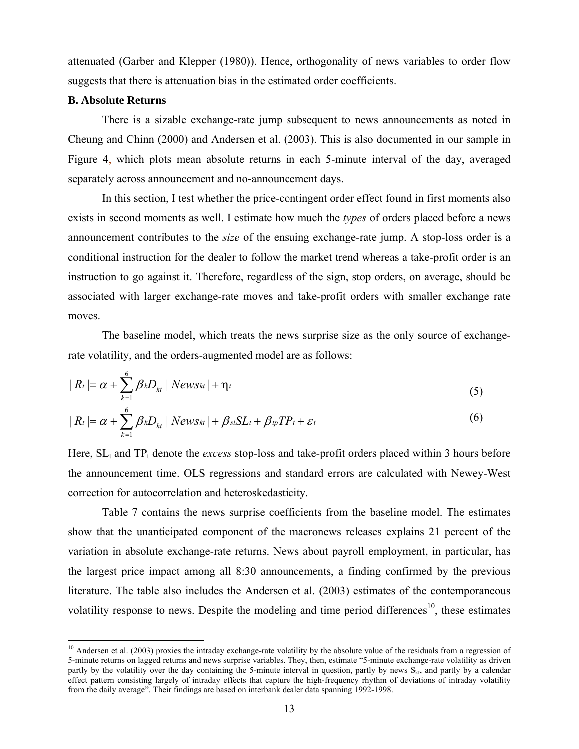attenuated (Garber and Klepper (1980)). Hence, orthogonality of news variables to order flow suggests that there is attenuation bias in the estimated order coefficients.

## **B. Absolute Returns**

 $\epsilon$ 

 $\overline{a}$ 

There is a sizable exchange-rate jump subsequent to news announcements as noted in Cheung and Chinn (2000) and Andersen et al. (2003). This is also documented in our sample in Figure 4, which plots mean absolute returns in each 5-minute interval of the day, averaged separately across announcement and no-announcement days.

In this section, I test whether the price-contingent order effect found in first moments also exists in second moments as well. I estimate how much the *types* of orders placed before a news announcement contributes to the *size* of the ensuing exchange-rate jump. A stop-loss order is a conditional instruction for the dealer to follow the market trend whereas a take-profit order is an instruction to go against it. Therefore, regardless of the sign, stop orders, on average, should be associated with larger exchange-rate moves and take-profit orders with smaller exchange rate moves.

The baseline model, which treats the news surprise size as the only source of exchangerate volatility, and the orders-augmented model are as follows:

$$
|R_t| = \alpha + \sum_{k=1}^{6} \beta_k D_{kt} |News_{kt}| + \eta_t
$$
\n(5)

$$
| R_t | = \alpha + \sum_{k=1}^{6} \beta_k D_{kt} | News_{kt} | + \beta_{sl} SL_t + \beta_{tp} TP_t + \varepsilon_t
$$
\n
$$
\tag{6}
$$

Here,  $SL<sub>t</sub>$  and  $TP<sub>t</sub>$  denote the *excess* stop-loss and take-profit orders placed within 3 hours before the announcement time. OLS regressions and standard errors are calculated with Newey-West correction for autocorrelation and heteroskedasticity.

Table 7 contains the news surprise coefficients from the baseline model. The estimates show that the unanticipated component of the macronews releases explains 21 percent of the variation in absolute exchange-rate returns. News about payroll employment, in particular, has the largest price impact among all 8:30 announcements, a finding confirmed by the previous literature. The table also includes the Andersen et al. (2003) estimates of the contemporaneous volatility response to news. Despite the modeling and time period differences<sup>10</sup>, these estimates

 $10$  Andersen et al. (2003) proxies the intraday exchange-rate volatility by the absolute value of the residuals from a regression of 5-minute returns on lagged returns and news surprise variables. They, then, estimate "5-minute exchange-rate volatility as driven partly by the volatility over the day containing the 5-minute interval in question, partly by news S<sub>kt</sub>, and partly by a calendar effect pattern consisting largely of intraday effects that capture the high-frequency rhythm of deviations of intraday volatility from the daily average". Their findings are based on interbank dealer data spanning 1992-1998.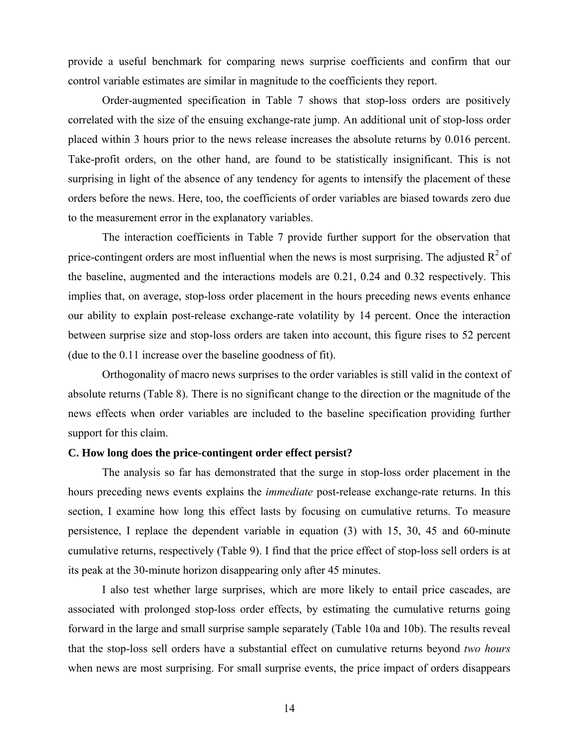provide a useful benchmark for comparing news surprise coefficients and confirm that our control variable estimates are similar in magnitude to the coefficients they report.

Order-augmented specification in Table 7 shows that stop-loss orders are positively correlated with the size of the ensuing exchange-rate jump. An additional unit of stop-loss order placed within 3 hours prior to the news release increases the absolute returns by 0.016 percent. Take-profit orders, on the other hand, are found to be statistically insignificant. This is not surprising in light of the absence of any tendency for agents to intensify the placement of these orders before the news. Here, too, the coefficients of order variables are biased towards zero due to the measurement error in the explanatory variables.

The interaction coefficients in Table 7 provide further support for the observation that price-contingent orders are most influential when the news is most surprising. The adjusted  $R^2$  of the baseline, augmented and the interactions models are 0.21, 0.24 and 0.32 respectively. This implies that, on average, stop-loss order placement in the hours preceding news events enhance our ability to explain post-release exchange-rate volatility by 14 percent. Once the interaction between surprise size and stop-loss orders are taken into account, this figure rises to 52 percent (due to the 0.11 increase over the baseline goodness of fit).

Orthogonality of macro news surprises to the order variables is still valid in the context of absolute returns (Table 8). There is no significant change to the direction or the magnitude of the news effects when order variables are included to the baseline specification providing further support for this claim.

# **C. How long does the price-contingent order effect persist?**

The analysis so far has demonstrated that the surge in stop-loss order placement in the hours preceding news events explains the *immediate* post-release exchange-rate returns. In this section, I examine how long this effect lasts by focusing on cumulative returns. To measure persistence, I replace the dependent variable in equation (3) with 15, 30, 45 and 60-minute cumulative returns, respectively (Table 9). I find that the price effect of stop-loss sell orders is at its peak at the 30-minute horizon disappearing only after 45 minutes.

I also test whether large surprises, which are more likely to entail price cascades, are associated with prolonged stop-loss order effects, by estimating the cumulative returns going forward in the large and small surprise sample separately (Table 10a and 10b). The results reveal that the stop-loss sell orders have a substantial effect on cumulative returns beyond *two hours* when news are most surprising. For small surprise events, the price impact of orders disappears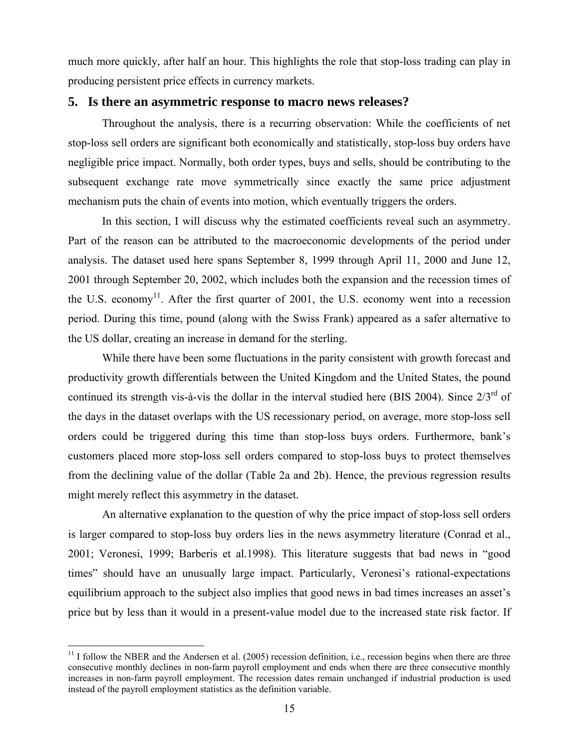much more quickly, after half an hour. This highlights the role that stop-loss trading can play in producing persistent price effects in currency markets.

# **5. Is there an asymmetric response to macro news releases?**

Throughout the analysis, there is a recurring observation: While the coefficients of net stop-loss sell orders are significant both economically and statistically, stop-loss buy orders have negligible price impact. Normally, both order types, buys and sells, should be contributing to the subsequent exchange rate move symmetrically since exactly the same price adjustment mechanism puts the chain of events into motion, which eventually triggers the orders.

In this section, I will discuss why the estimated coefficients reveal such an asymmetry. Part of the reason can be attributed to the macroeconomic developments of the period under analysis. The dataset used here spans September 8, 1999 through April 11, 2000 and June 12, 2001 through September 20, 2002, which includes both the expansion and the recession times of the U.S. economy<sup>11</sup>. After the first quarter of 2001, the U.S. economy went into a recession period. During this time, pound (along with the Swiss Frank) appeared as a safer alternative to the US dollar, creating an increase in demand for the sterling.

While there have been some fluctuations in the parity consistent with growth forecast and productivity growth differentials between the United Kingdom and the United States, the pound continued its strength vis-à-vis the dollar in the interval studied here (BIS 2004). Since 2/3<sup>rd</sup> of the days in the dataset overlaps with the US recessionary period, on average, more stop-loss sell orders could be triggered during this time than stop-loss buys orders. Furthermore, bank's customers placed more stop-loss sell orders compared to stop-loss buys to protect themselves from the declining value of the dollar (Table 2a and 2b). Hence, the previous regression results might merely reflect this asymmetry in the dataset.

An alternative explanation to the question of why the price impact of stop-loss sell orders is larger compared to stop-loss buy orders lies in the news asymmetry literature (Conrad et al., 2001; Veronesi, 1999; Barberis et al.1998). This literature suggests that bad news in "good times" should have an unusually large impact. Particularly, Veronesi's rational-expectations equilibrium approach to the subject also implies that good news in bad times increases an asset's price but by less than it would in a present-value model due to the increased state risk factor. If

1

 $11$  I follow the NBER and the Andersen et al. (2005) recession definition, i.e., recession begins when there are three consecutive monthly declines in non-farm payroll employment and ends when there are three consecutive monthly increases in non-farm payroll employment. The recession dates remain unchanged if industrial production is used instead of the payroll employment statistics as the definition variable.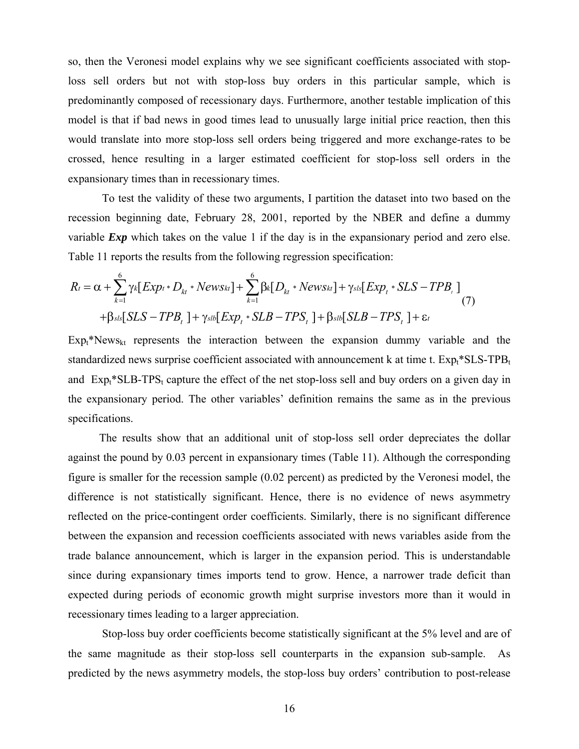so, then the Veronesi model explains why we see significant coefficients associated with stoploss sell orders but not with stop-loss buy orders in this particular sample, which is predominantly composed of recessionary days. Furthermore, another testable implication of this model is that if bad news in good times lead to unusually large initial price reaction, then this would translate into more stop-loss sell orders being triggered and more exchange-rates to be crossed, hence resulting in a larger estimated coefficient for stop-loss sell orders in the expansionary times than in recessionary times.

To test the validity of these two arguments, I partition the dataset into two based on the recession beginning date, February 28, 2001, reported by the NBER and define a dummy variable *Exp* which takes on the value 1 if the day is in the expansionary period and zero else. Table 11 reports the results from the following regression specification:

$$
R_t = \alpha + \sum_{k=1}^{6} \gamma_k [Exp_t * D_{kt} * News_{kt}] + \sum_{k=1}^{6} \beta_k [D_{kt} * News_{kt}] + \gamma_{sls} [Exp_t * SLS - TPB_t]
$$
  
+
$$
\beta_{sls}[SLS - TPB_t] + \gamma_{slb}[Exp_t * SLB - TPS_t] + \beta_{slb}[SLB - TPS_t] + \epsilon_t
$$
(7)

 $Exp<sub>k</sub>$ <sup>\*</sup>News<sub>kt</sub> represents the interaction between the expansion dummy variable and the standardized news surprise coefficient associated with announcement k at time t.  $Exp_t$ \*SLS-TPB<sub>t</sub> and  $Exp<sub>t</sub>*SLB-TPS<sub>t</sub>$  capture the effect of the net stop-loss sell and buy orders on a given day in the expansionary period. The other variables' definition remains the same as in the previous specifications.

 The results show that an additional unit of stop-loss sell order depreciates the dollar against the pound by 0.03 percent in expansionary times (Table 11). Although the corresponding figure is smaller for the recession sample (0.02 percent) as predicted by the Veronesi model, the difference is not statistically significant. Hence, there is no evidence of news asymmetry reflected on the price-contingent order coefficients. Similarly, there is no significant difference between the expansion and recession coefficients associated with news variables aside from the trade balance announcement, which is larger in the expansion period. This is understandable since during expansionary times imports tend to grow. Hence, a narrower trade deficit than expected during periods of economic growth might surprise investors more than it would in recessionary times leading to a larger appreciation.

Stop-loss buy order coefficients become statistically significant at the 5% level and are of the same magnitude as their stop-loss sell counterparts in the expansion sub-sample. As predicted by the news asymmetry models, the stop-loss buy orders' contribution to post-release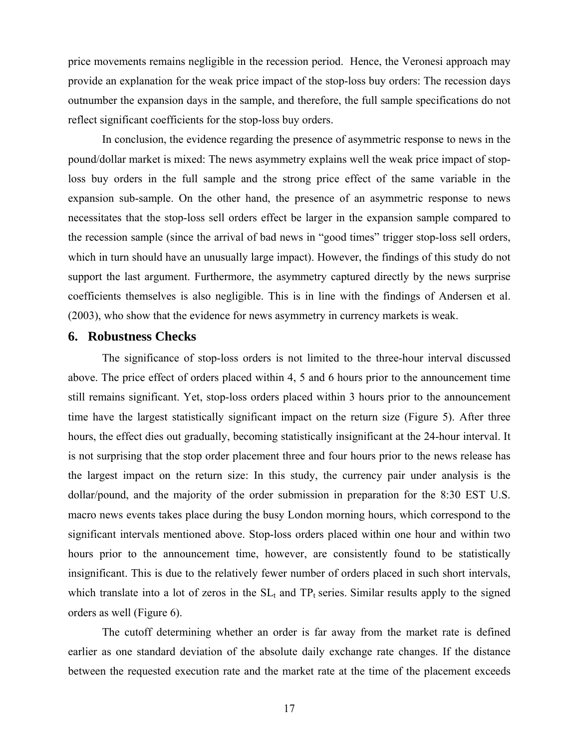price movements remains negligible in the recession period. Hence, the Veronesi approach may provide an explanation for the weak price impact of the stop-loss buy orders: The recession days outnumber the expansion days in the sample, and therefore, the full sample specifications do not reflect significant coefficients for the stop-loss buy orders.

In conclusion, the evidence regarding the presence of asymmetric response to news in the pound/dollar market is mixed: The news asymmetry explains well the weak price impact of stoploss buy orders in the full sample and the strong price effect of the same variable in the expansion sub-sample. On the other hand, the presence of an asymmetric response to news necessitates that the stop-loss sell orders effect be larger in the expansion sample compared to the recession sample (since the arrival of bad news in "good times" trigger stop-loss sell orders, which in turn should have an unusually large impact). However, the findings of this study do not support the last argument. Furthermore, the asymmetry captured directly by the news surprise coefficients themselves is also negligible. This is in line with the findings of Andersen et al. (2003), who show that the evidence for news asymmetry in currency markets is weak.

# **6. Robustness Checks**

The significance of stop-loss orders is not limited to the three-hour interval discussed above. The price effect of orders placed within 4, 5 and 6 hours prior to the announcement time still remains significant. Yet, stop-loss orders placed within 3 hours prior to the announcement time have the largest statistically significant impact on the return size (Figure 5). After three hours, the effect dies out gradually, becoming statistically insignificant at the 24-hour interval. It is not surprising that the stop order placement three and four hours prior to the news release has the largest impact on the return size: In this study, the currency pair under analysis is the dollar/pound, and the majority of the order submission in preparation for the 8:30 EST U.S. macro news events takes place during the busy London morning hours, which correspond to the significant intervals mentioned above. Stop-loss orders placed within one hour and within two hours prior to the announcement time, however, are consistently found to be statistically insignificant. This is due to the relatively fewer number of orders placed in such short intervals, which translate into a lot of zeros in the  $SL<sub>t</sub>$  and  $TP<sub>t</sub>$  series. Similar results apply to the signed orders as well (Figure 6).

The cutoff determining whether an order is far away from the market rate is defined earlier as one standard deviation of the absolute daily exchange rate changes. If the distance between the requested execution rate and the market rate at the time of the placement exceeds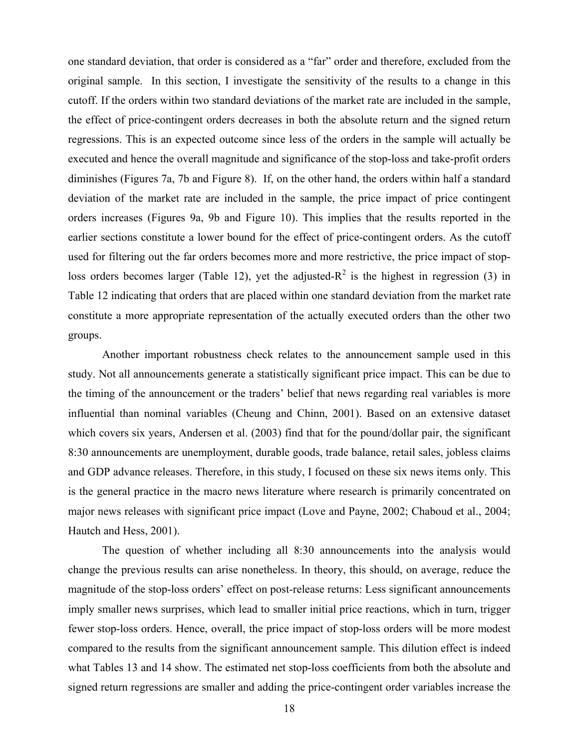one standard deviation, that order is considered as a "far" order and therefore, excluded from the original sample. In this section, I investigate the sensitivity of the results to a change in this cutoff. If the orders within two standard deviations of the market rate are included in the sample, the effect of price-contingent orders decreases in both the absolute return and the signed return regressions. This is an expected outcome since less of the orders in the sample will actually be executed and hence the overall magnitude and significance of the stop-loss and take-profit orders diminishes (Figures 7a, 7b and Figure 8). If, on the other hand, the orders within half a standard deviation of the market rate are included in the sample, the price impact of price contingent orders increases (Figures 9a, 9b and Figure 10). This implies that the results reported in the earlier sections constitute a lower bound for the effect of price-contingent orders. As the cutoff used for filtering out the far orders becomes more and more restrictive, the price impact of stoploss orders becomes larger (Table 12), yet the adjusted- $R^2$  is the highest in regression (3) in Table 12 indicating that orders that are placed within one standard deviation from the market rate constitute a more appropriate representation of the actually executed orders than the other two groups.

 Another important robustness check relates to the announcement sample used in this study. Not all announcements generate a statistically significant price impact. This can be due to the timing of the announcement or the traders' belief that news regarding real variables is more influential than nominal variables (Cheung and Chinn, 2001). Based on an extensive dataset which covers six years, Andersen et al. (2003) find that for the pound/dollar pair, the significant 8:30 announcements are unemployment, durable goods, trade balance, retail sales, jobless claims and GDP advance releases. Therefore, in this study, I focused on these six news items only. This is the general practice in the macro news literature where research is primarily concentrated on major news releases with significant price impact (Love and Payne, 2002; Chaboud et al., 2004; Hautch and Hess, 2001).

The question of whether including all 8:30 announcements into the analysis would change the previous results can arise nonetheless. In theory, this should, on average, reduce the magnitude of the stop-loss orders' effect on post-release returns: Less significant announcements imply smaller news surprises, which lead to smaller initial price reactions, which in turn, trigger fewer stop-loss orders. Hence, overall, the price impact of stop-loss orders will be more modest compared to the results from the significant announcement sample. This dilution effect is indeed what Tables 13 and 14 show. The estimated net stop-loss coefficients from both the absolute and signed return regressions are smaller and adding the price-contingent order variables increase the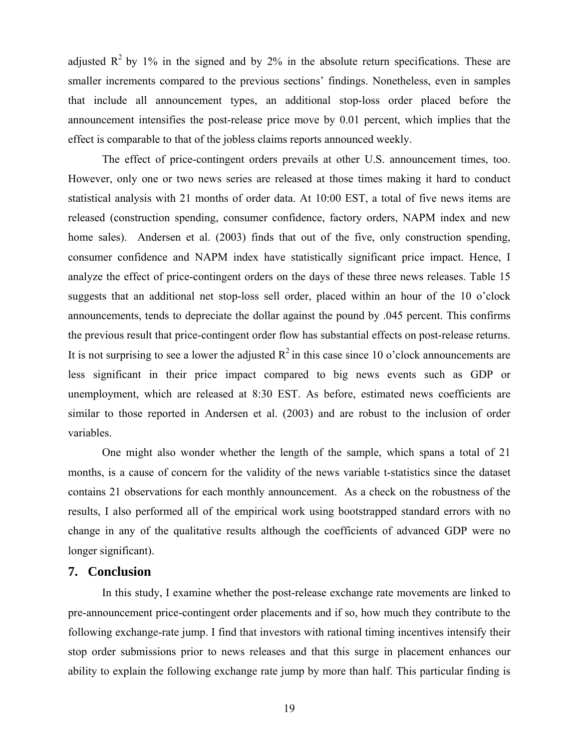adjusted  $\mathbb{R}^2$  by 1% in the signed and by 2% in the absolute return specifications. These are smaller increments compared to the previous sections' findings. Nonetheless, even in samples that include all announcement types, an additional stop-loss order placed before the announcement intensifies the post-release price move by 0.01 percent, which implies that the effect is comparable to that of the jobless claims reports announced weekly.

The effect of price-contingent orders prevails at other U.S. announcement times, too. However, only one or two news series are released at those times making it hard to conduct statistical analysis with 21 months of order data. At 10:00 EST, a total of five news items are released (construction spending, consumer confidence, factory orders, NAPM index and new home sales). Andersen et al. (2003) finds that out of the five, only construction spending, consumer confidence and NAPM index have statistically significant price impact. Hence, I analyze the effect of price-contingent orders on the days of these three news releases. Table 15 suggests that an additional net stop-loss sell order, placed within an hour of the 10 o'clock announcements, tends to depreciate the dollar against the pound by .045 percent. This confirms the previous result that price-contingent order flow has substantial effects on post-release returns. It is not surprising to see a lower the adjusted  $R^2$  in this case since 10 o'clock announcements are less significant in their price impact compared to big news events such as GDP or unemployment, which are released at 8:30 EST. As before, estimated news coefficients are similar to those reported in Andersen et al. (2003) and are robust to the inclusion of order variables.

One might also wonder whether the length of the sample, which spans a total of 21 months, is a cause of concern for the validity of the news variable t-statistics since the dataset contains 21 observations for each monthly announcement. As a check on the robustness of the results, I also performed all of the empirical work using bootstrapped standard errors with no change in any of the qualitative results although the coefficients of advanced GDP were no longer significant).

# **7. Conclusion**

In this study, I examine whether the post-release exchange rate movements are linked to pre-announcement price-contingent order placements and if so, how much they contribute to the following exchange-rate jump. I find that investors with rational timing incentives intensify their stop order submissions prior to news releases and that this surge in placement enhances our ability to explain the following exchange rate jump by more than half. This particular finding is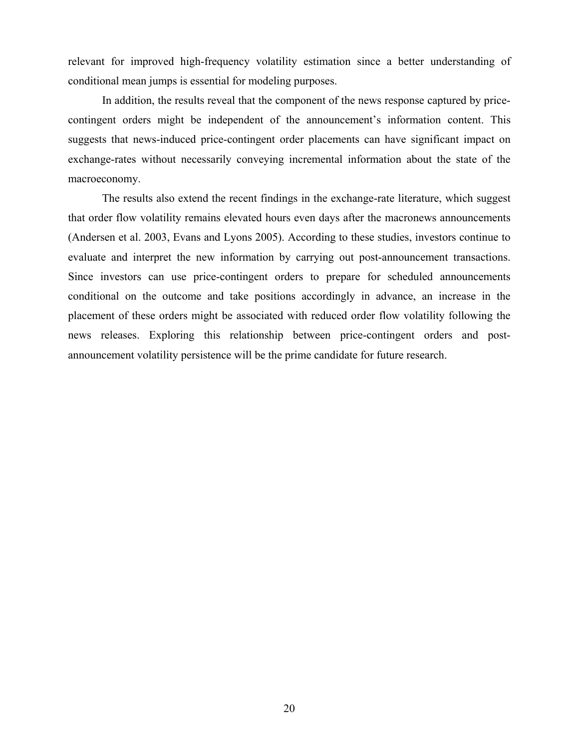relevant for improved high-frequency volatility estimation since a better understanding of conditional mean jumps is essential for modeling purposes.

In addition, the results reveal that the component of the news response captured by pricecontingent orders might be independent of the announcement's information content. This suggests that news-induced price-contingent order placements can have significant impact on exchange-rates without necessarily conveying incremental information about the state of the macroeconomy.

The results also extend the recent findings in the exchange-rate literature, which suggest that order flow volatility remains elevated hours even days after the macronews announcements (Andersen et al. 2003, Evans and Lyons 2005). According to these studies, investors continue to evaluate and interpret the new information by carrying out post-announcement transactions. Since investors can use price-contingent orders to prepare for scheduled announcements conditional on the outcome and take positions accordingly in advance, an increase in the placement of these orders might be associated with reduced order flow volatility following the news releases. Exploring this relationship between price-contingent orders and postannouncement volatility persistence will be the prime candidate for future research.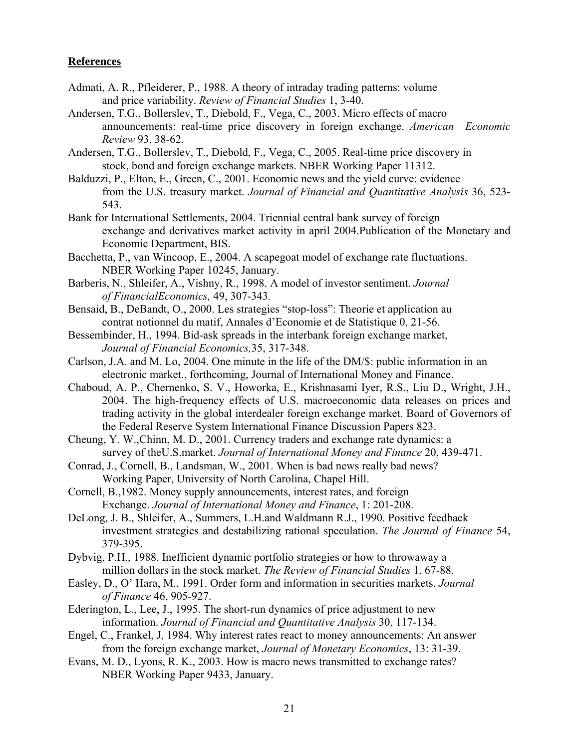# **References**

- Admati, A. R., Pfleiderer, P., 1988. A theory of intraday trading patterns: volume and price variability. *Review of Financial Studies* 1, 3-40.
- Andersen, T.G., Bollerslev, T., Diebold, F., Vega, C., 2003. Micro effects of macro announcements: real-time price discovery in foreign exchange. *American Economic Review* 93, 38-62.
- Andersen, T.G., Bollerslev, T., Diebold, F., Vega, C., 2005. Real-time price discovery in stock, bond and foreign exchange markets. NBER Working Paper 11312.
- Balduzzi, P., Elton, E., Green, C., 2001. Economic news and the yield curve: evidence from the U.S. treasury market. *Journal of Financial and Quantitative Analysis* 36, 523- 543.
- Bank for International Settlements, 2004. Triennial central bank survey of foreign exchange and derivatives market activity in april 2004.Publication of the Monetary and Economic Department, BIS.
- Bacchetta, P., van Wincoop, E., 2004. A scapegoat model of exchange rate fluctuations. NBER Working Paper 10245, January.
- Barberis, N., Shleifer, A., Vishny, R., 1998. A model of investor sentiment. *Journal of FinancialEconomics,* 49, 307-343*.*
- Bensaid, B., DeBandt, O., 2000. Les strategies "stop-loss": Theorie et application au contrat notionnel du matif, Annales d'Economie et de Statistique 0, 21-56.
- Bessembinder, H., 1994. Bid-ask spreads in the interbank foreign exchange market, *Journal of Financial Economics,*35, 317-348.
- Carlson, J.A. and M. Lo, 2004. One minute in the life of the DM/\$: public information in an electronic market., forthcoming, Journal of International Money and Finance.
- Chaboud, A. P., Chernenko, S. V., Howorka, E., Krishnasami Iyer, R.S., Liu D., Wright, J.H., 2004. The high-frequency effects of U.S. macroeconomic data releases on prices and trading activity in the global interdealer foreign exchange market. Board of Governors of the Federal Reserve System International Finance Discussion Papers 823.
- Cheung, Y. W.,Chinn, M. D., 2001. Currency traders and exchange rate dynamics: a survey of theU.S.market. *Journal of International Money and Finance* 20, 439-471.
- Conrad, J., Cornell, B., Landsman, W., 2001. When is bad news really bad news? Working Paper, University of North Carolina, Chapel Hill.
- Cornell, B.,1982. Money supply announcements, interest rates, and foreign Exchange. *Journal of International Money and Finance*, 1: 201-208.
- DeLong, J. B., Shleifer, A., Summers, L.H.and Waldmann R.J., 1990. Positive feedback investment strategies and destabilizing rational speculation. *The Journal of Finance* 54, 379-395.
- Dybvig, P.H., 1988. Inefficient dynamic portfolio strategies or how to throwaway a million dollars in the stock market. *The Review of Financial Studies* 1, 67-88.
- Easley, D., O' Hara, M., 1991. Order form and information in securities markets. *Journal of Finance* 46, 905-927.
- Ederington, L., Lee, J., 1995. The short-run dynamics of price adjustment to new information. *Journal of Financial and Quantitative Analysis* 30, 117-134.
- Engel, C., Frankel, J, 1984. Why interest rates react to money announcements: An answer from the foreign exchange market, *Journal of Monetary Economics*, 13: 31-39.
- Evans, M. D., Lyons, R. K., 2003. How is macro news transmitted to exchange rates? NBER Working Paper 9433, January.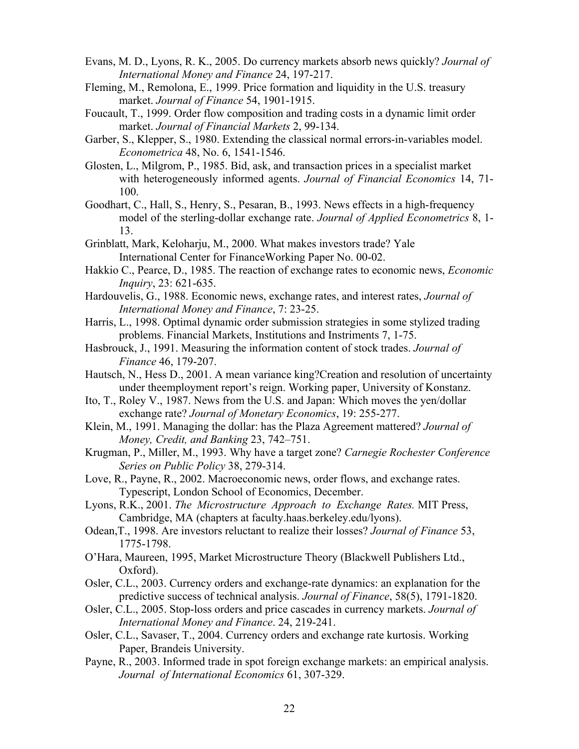- Evans, M. D., Lyons, R. K., 2005. Do currency markets absorb news quickly? *Journal of International Money and Finance* 24, 197-217.
- Fleming, M., Remolona, E., 1999. Price formation and liquidity in the U.S. treasury market. *Journal of Finance* 54, 1901-1915.
- Foucault, T., 1999. Order flow composition and trading costs in a dynamic limit order market. *Journal of Financial Markets* 2, 99-134.
- Garber, S., Klepper, S., 1980. Extending the classical normal errors-in-variables model. *Econometrica* 48, No. 6, 1541-1546.
- Glosten, L., Milgrom, P., 1985. Bid, ask, and transaction prices in a specialist market with heterogeneously informed agents. *Journal of Financial Economics* 14, 71- 100.
- Goodhart, C., Hall, S., Henry, S., Pesaran, B., 1993. News effects in a high-frequency model of the sterling-dollar exchange rate. *Journal of Applied Econometrics* 8, 1- 13.
- Grinblatt, Mark, Keloharju, M., 2000. What makes investors trade? Yale International Center for FinanceWorking Paper No. 00-02.
- Hakkio C., Pearce, D., 1985. The reaction of exchange rates to economic news, *Economic Inquiry*, 23: 621-635.
- Hardouvelis, G., 1988. Economic news, exchange rates, and interest rates, *Journal of International Money and Finance*, 7: 23-25.
- Harris, L., 1998. Optimal dynamic order submission strategies in some stylized trading problems. Financial Markets, Institutions and Instriments 7, 1-75.
- Hasbrouck, J., 1991. Measuring the information content of stock trades. *Journal of Finance* 46, 179-207.
- Hautsch, N., Hess D., 2001. A mean variance king?Creation and resolution of uncertainty under theemployment report's reign. Working paper, University of Konstanz.
- Ito, T., Roley V., 1987. News from the U.S. and Japan: Which moves the yen/dollar exchange rate? *Journal of Monetary Economics*, 19: 255-277.
- Klein, M., 1991. Managing the dollar: has the Plaza Agreement mattered? *Journal of Money, Credit, and Banking* 23, 742–751.
- Krugman, P., Miller, M., 1993. Why have a target zone? *Carnegie Rochester Conference Series on Public Policy* 38, 279-314.
- Love, R., Payne, R., 2002. Macroeconomic news, order flows, and exchange rates. Typescript, London School of Economics, December.
- Lyons, R.K., 2001. *The Microstructure Approach to Exchange Rates.* MIT Press, Cambridge, MA (chapters at faculty.haas.berkeley.edu/lyons).
- Odean,T., 1998. Are investors reluctant to realize their losses? *Journal of Finance* 53, 1775-1798.
- O'Hara, Maureen, 1995, Market Microstructure Theory (Blackwell Publishers Ltd., Oxford).
- Osler, C.L., 2003. Currency orders and exchange-rate dynamics: an explanation for the predictive success of technical analysis. *Journal of Finance*, 58(5), 1791-1820.
- Osler, C.L., 2005. Stop-loss orders and price cascades in currency markets. *Journal of International Money and Finance*. 24, 219-241.
- Osler, C.L., Savaser, T., 2004. Currency orders and exchange rate kurtosis. Working Paper, Brandeis University.
- Payne, R., 2003. Informed trade in spot foreign exchange markets: an empirical analysis. *Journal of International Economics* 61, 307-329.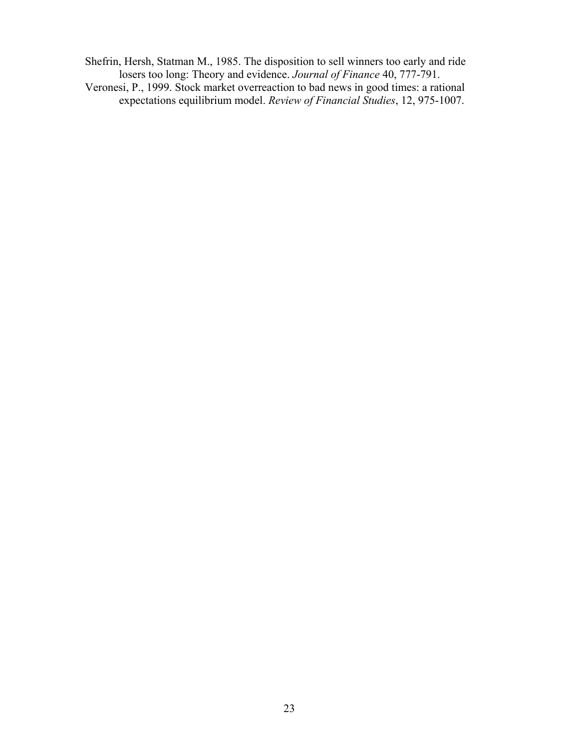Shefrin, Hersh, Statman M., 1985. The disposition to sell winners too early and ride losers too long: Theory and evidence. *Journal of Finance* 40, 777-791. Veronesi, P., 1999. Stock market overreaction to bad news in good times: a rational

expectations equilibrium model. *Review of Financial Studies*, 12, 975-1007.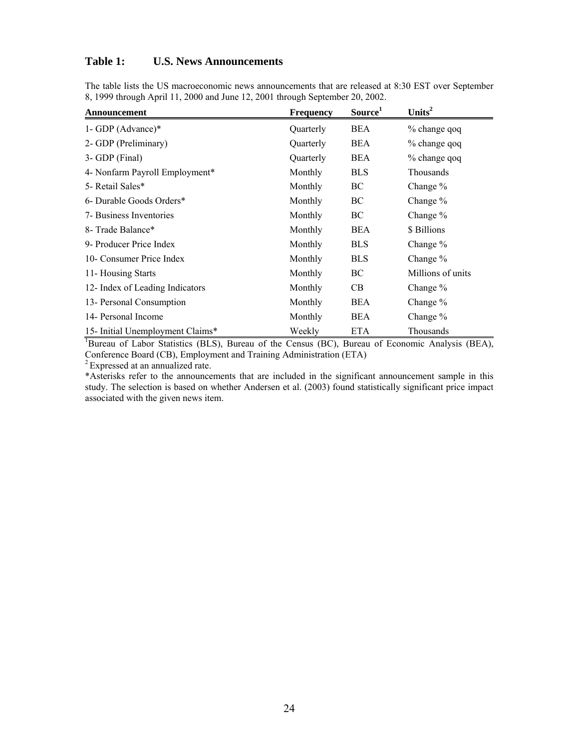# **Table 1: U.S. News Announcements**

The table lists the US macroeconomic news announcements that are released at 8:30 EST over September 8, 1999 through April 11, 2000 and June 12, 2001 through September 20, 2002.

| Announcement                     | <b>Frequency</b> | Source <sup>1</sup> | Units <sup>2</sup> |
|----------------------------------|------------------|---------------------|--------------------|
| 1- GDP (Advance) $*$             | Quarterly        | BEA                 | % change qoq       |
| 2- GDP (Preliminary)             | Quarterly        | <b>BEA</b>          | % change qoq       |
| 3- GDP (Final)                   | Quarterly        | <b>BEA</b>          | % change qoq       |
| 4- Nonfarm Payroll Employment*   | Monthly          | <b>BLS</b>          | <b>Thousands</b>   |
| 5- Retail Sales*                 | Monthly          | BC                  | Change $%$         |
| 6- Durable Goods Orders*         | Monthly          | ВC                  | Change $%$         |
| 7- Business Inventories          | Monthly          | ВC                  | Change $%$         |
| 8- Trade Balance*                | Monthly          | <b>BEA</b>          | \$ Billions        |
| 9- Producer Price Index          | Monthly          | <b>BLS</b>          | Change %           |
| 10- Consumer Price Index         | Monthly          | <b>BLS</b>          | Change $%$         |
| 11- Housing Starts               | Monthly          | BC                  | Millions of units  |
| 12- Index of Leading Indicators  | Monthly          | CВ                  | Change %           |
| 13- Personal Consumption         | Monthly          | <b>BEA</b>          | Change $%$         |
| 14- Personal Income              | Monthly          | <b>BEA</b>          | Change $%$         |
| 15- Initial Unemployment Claims* | Weekly           | ETA                 | Thousands          |

<sup>1</sup>Bureau of Labor Statistics (BLS), Bureau of the Census (BC), Bureau of Economic Analysis (BEA), Conference Board (CB), Employment and Training Administration (ETA)

<sup>2</sup> Expressed at an annualized rate.

\*Asterisks refer to the announcements that are included in the significant announcement sample in this study. The selection is based on whether Andersen et al. (2003) found statistically significant price impact associated with the given news item.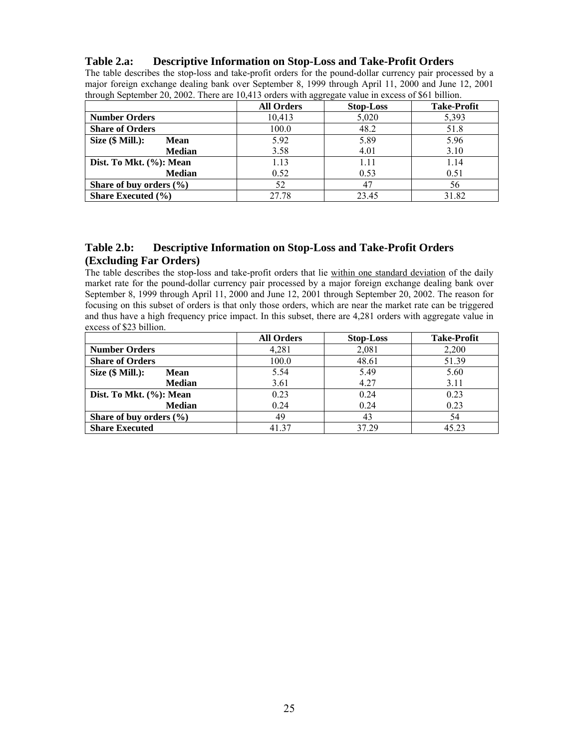# **Table 2.a: Descriptive Information on Stop-Loss and Take-Profit Orders**

The table describes the stop-loss and take-profit orders for the pound-dollar currency pair processed by a major foreign exchange dealing bank over September 8, 1999 through April 11, 2000 and June 12, 2001 through September 20, 2002. There are 10,413 orders with aggregate value in excess of \$61 billion.

|                                   |                   | ິ                |                    |
|-----------------------------------|-------------------|------------------|--------------------|
|                                   | <b>All Orders</b> | <b>Stop-Loss</b> | <b>Take-Profit</b> |
| <b>Number Orders</b>              | 10,413            | 5,020            | 5,393              |
| <b>Share of Orders</b>            | 100.0             | 48.2             | 51.8               |
| Size $(\$$ Mill.):<br><b>Mean</b> | 5.92              | 5.89             | 5.96               |
| <b>Median</b>                     | 3.58              | 4.01             | 3.10               |
| Dist. To Mkt. (%): Mean           | 1.13              | 1.11             | 1.14               |
| <b>Median</b>                     | 0.52              | 0.53             | 0.51               |
| Share of buy orders $(\% )$       | 52                | 4.               | 56                 |
| <b>Share Executed</b> $(\% )$     | 27.78             | 23.45            | 31.82              |

# **Table 2.b: Descriptive Information on Stop-Loss and Take-Profit Orders (Excluding Far Orders)**

The table describes the stop-loss and take-profit orders that lie within one standard deviation of the daily market rate for the pound-dollar currency pair processed by a major foreign exchange dealing bank over September 8, 1999 through April 11, 2000 and June 12, 2001 through September 20, 2002. The reason for focusing on this subset of orders is that only those orders, which are near the market rate can be triggered and thus have a high frequency price impact. In this subset, there are 4,281 orders with aggregate value in excess of \$23 billion.

|                             | <b>All Orders</b> | <b>Stop-Loss</b> | <b>Take-Profit</b> |
|-----------------------------|-------------------|------------------|--------------------|
| <b>Number Orders</b>        | 4,281             | 2,081            | 2,200              |
| <b>Share of Orders</b>      | 100.0             | 48.61            | 51.39              |
| Size $(\$$ Mill.):<br>Mean  | 5.54              | 5.49             | 5.60               |
| <b>Median</b>               | 3.61              | 4.27             | 3.11               |
| Dist. To Mkt. (%): Mean     | 0.23              | 0.24             | 0.23               |
| <b>Median</b>               | 0.24              | 0.24             | 0.23               |
| Share of buy orders $(\% )$ | 49                | 43               | 54                 |
| <b>Share Executed</b>       | 41.37             | 37 29            | 45.23              |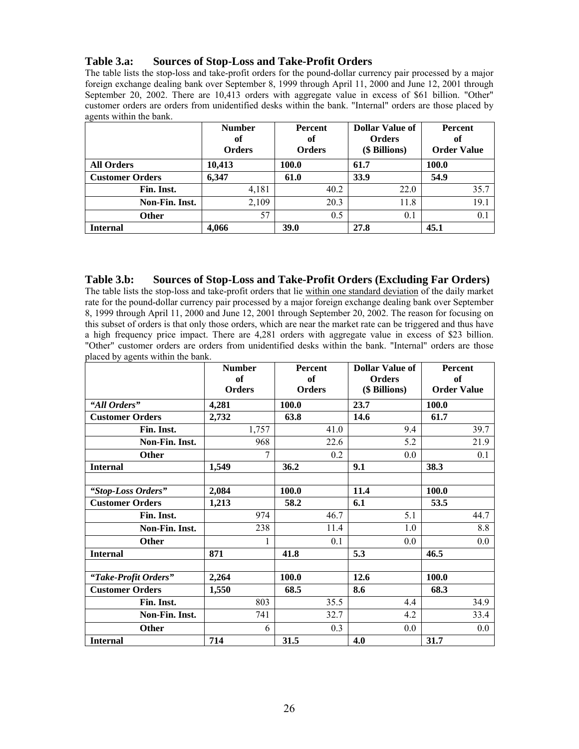# **Table 3.a: Sources of Stop-Loss and Take-Profit Orders**

The table lists the stop-loss and take-profit orders for the pound-dollar currency pair processed by a major foreign exchange dealing bank over September 8, 1999 through April 11, 2000 and June 12, 2001 through September 20, 2002. There are 10,413 orders with aggregate value in excess of \$61 billion. "Other" customer orders are orders from unidentified desks within the bank. "Internal" orders are those placed by agents within the bank.

|                        | <b>Number</b><br>оf<br><b>Orders</b> | <b>Percent</b><br>of<br><b>Orders</b> | <b>Dollar Value of</b><br><b>Orders</b><br>(\$ Billions) | <b>Percent</b><br>of<br><b>Order Value</b> |  |
|------------------------|--------------------------------------|---------------------------------------|----------------------------------------------------------|--------------------------------------------|--|
| <b>All Orders</b>      | 10,413                               | 100.0                                 | 61.7                                                     | 100.0                                      |  |
| <b>Customer Orders</b> | 6,347                                | 61.0                                  | 33.9                                                     | 54.9                                       |  |
| Fin. Inst.             | 4,181                                | 40.2                                  | 22.0                                                     | 35.7                                       |  |
| Non-Fin. Inst.         | 2,109                                | 20.3                                  | 11.8                                                     | 19.1                                       |  |
| <b>Other</b>           | 57                                   | 0.5                                   | 0.1                                                      | 0.1                                        |  |
| <b>Internal</b>        | 4.066                                | <b>39.0</b>                           | 27.8                                                     | 45.1                                       |  |

# **Table 3.b: Sources of Stop-Loss and Take-Profit Orders (Excluding Far Orders)**

The table lists the stop-loss and take-profit orders that lie within one standard deviation of the daily market rate for the pound-dollar currency pair processed by a major foreign exchange dealing bank over September 8, 1999 through April 11, 2000 and June 12, 2001 through September 20, 2002. The reason for focusing on this subset of orders is that only those orders, which are near the market rate can be triggered and thus have a high frequency price impact. There are 4,281 orders with aggregate value in excess of \$23 billion. "Other" customer orders are orders from unidentified desks within the bank. "Internal" orders are those placed by agents within the bank.

|                        |       | <b>Number</b>              |              | <b>Percent</b> | <b>Dollar Value of</b>         | <b>Percent</b>           |
|------------------------|-------|----------------------------|--------------|----------------|--------------------------------|--------------------------|
|                        |       | <b>of</b><br><b>Orders</b> |              | of<br>Orders   | <b>Orders</b><br>(\$ Billions) | of<br><b>Order Value</b> |
| "All Orders"           | 4,281 |                            | <b>100.0</b> |                | 23.7                           | <b>100.0</b>             |
| <b>Customer Orders</b> | 2,732 |                            | 63.8         |                | 14.6                           | 61.7                     |
| Fin. Inst.             |       | 1,757                      |              | 41.0           | 9.4                            | 39.7                     |
| Non-Fin. Inst.         |       | 968                        |              | 22.6           | 5.2                            | 21.9                     |
| <b>Other</b>           |       | 7                          |              | 0.2            | 0.0                            | 0.1                      |
| <b>Internal</b>        | 1,549 |                            | 36.2         |                | 9.1                            | 38.3                     |
|                        |       |                            |              |                |                                |                          |
| "Stop-Loss Orders"     | 2,084 |                            | 100.0        |                | 11.4                           | 100.0                    |
| <b>Customer Orders</b> | 1,213 |                            | 58.2         |                | 6.1                            | 53.5                     |
| Fin. Inst.             |       | 974                        |              | 46.7           | 5.1                            | 44.7                     |
| Non-Fin. Inst.         |       | 238                        |              | 11.4           | 1.0                            | 8.8                      |
| <b>Other</b>           |       |                            |              | 0.1            | 0.0                            | 0.0                      |
| <b>Internal</b>        | 871   |                            | 41.8         |                | 5.3                            | 46.5                     |
|                        |       |                            |              |                |                                |                          |
| "Take-Profit Orders"   | 2,264 |                            | 100.0        |                | 12.6                           | 100.0                    |
| <b>Customer Orders</b> | 1,550 |                            | 68.5         |                | 8.6                            | 68.3                     |
| Fin. Inst.             |       | 803                        |              | 35.5           | 4.4                            | 34.9                     |
| Non-Fin. Inst.         |       | 741                        |              | 32.7           | 4.2                            | 33.4                     |
| <b>Other</b>           |       | 6                          |              | 0.3            | 0.0                            | 0.0                      |
| <b>Internal</b>        | 714   |                            | 31.5         |                | 4.0                            | 31.7                     |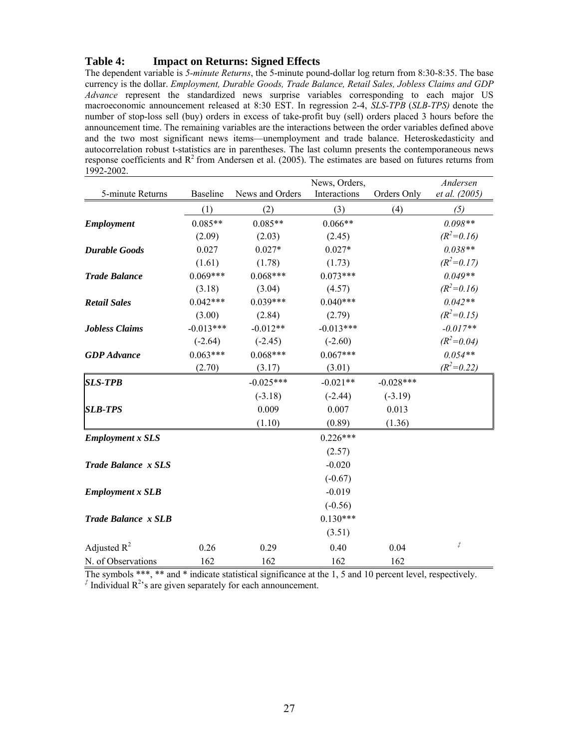### **Table 4: Impact on Returns: Signed Effects**

The dependent variable is *5-minute Returns*, the 5-minute pound-dollar log return from 8:30-8:35. The base currency is the dollar. *Employment, Durable Goods, Trade Balance, Retail Sales, Jobless Claims and GDP Advance* represent the standardized news surprise variables corresponding to each major US macroeconomic announcement released at 8:30 EST. In regression 2-4, *SLS-TPB* (*SLB-TPS)* denote the number of stop-loss sell (buy) orders in excess of take-profit buy (sell) orders placed 3 hours before the announcement time. The remaining variables are the interactions between the order variables defined above and the two most significant news items—unemployment and trade balance. Heteroskedasticity and autocorrelation robust t-statistics are in parentheses. The last column presents the contemporaneous news response coefficients and  $R^2$  from Andersen et al. (2005). The estimates are based on futures returns from 1992-2002.

|                            |                 |                 | News, Orders, |             | Andersen            |
|----------------------------|-----------------|-----------------|---------------|-------------|---------------------|
| 5-minute Returns           | <b>Baseline</b> | News and Orders | Interactions  | Orders Only | et al. (2005)       |
|                            | (1)             | (2)             | (3)           | (4)         | (5)                 |
| <b>Employment</b>          | $0.085**$       | $0.085**$       | $0.066**$     |             | $0.098**$           |
|                            | (2.09)          | (2.03)          | (2.45)        |             | $(R^2=0.16)$        |
| <b>Durable Goods</b>       | 0.027           | $0.027*$        | $0.027*$      |             | $0.038**$           |
|                            | (1.61)          | (1.78)          | (1.73)        |             | $(R^2=0.17)$        |
| <b>Trade Balance</b>       | $0.069***$      | $0.068***$      | $0.073***$    |             | $0.049**$           |
|                            | (3.18)          | (3.04)          | (4.57)        |             | $(R^2=0.16)$        |
| <b>Retail Sales</b>        | $0.042***$      | $0.039***$      | $0.040***$    |             | $0.042**$           |
|                            | (3.00)          | (2.84)          | (2.79)        |             | $(R^2=0.15)$        |
| <b>Jobless Claims</b>      | $-0.013***$     | $-0.012**$      | $-0.013***$   |             | $-0.017**$          |
|                            | $(-2.64)$       | $(-2.45)$       | $(-2.60)$     |             | $(R^2=0.04)$        |
| <b>GDP</b> Advance         | $0.063***$      | $0.068***$      | $0.067***$    |             | $0.054**$           |
|                            | (2.70)          | (3.17)          | (3.01)        |             | $(R^2=0.22)$        |
| <b>SLS-TPB</b>             |                 | $-0.025***$     | $-0.021**$    | $-0.028***$ |                     |
|                            |                 | $(-3.18)$       | $(-2.44)$     | $(-3.19)$   |                     |
| <b>SLB-TPS</b>             |                 | 0.009           | 0.007         | 0.013       |                     |
|                            |                 | (1.10)          | (0.89)        | (1.36)      |                     |
| <b>Employment x SLS</b>    |                 |                 | $0.226***$    |             |                     |
|                            |                 |                 | (2.57)        |             |                     |
| <b>Trade Balance x SLS</b> |                 |                 | $-0.020$      |             |                     |
|                            |                 |                 | $(-0.67)$     |             |                     |
| <b>Employment x SLB</b>    |                 |                 | $-0.019$      |             |                     |
|                            |                 |                 | $(-0.56)$     |             |                     |
| <b>Trade Balance x SLB</b> |                 |                 | $0.130***$    |             |                     |
|                            |                 |                 | (3.51)        |             |                     |
| Adjusted $R^2$             | 0.26            | 0.29            | 0.40          | 0.04        | $\vec{\mathcal{I}}$ |
| N. of Observations         | 162             | 162             | 162           | 162         |                     |

The symbols \*\*\*, \*\* and \* indicate statistical significance at the 1, 5 and 10 percent level, respectively.  $\hat{f}$  Individual  $R^2$ 's are given separately for each announcement.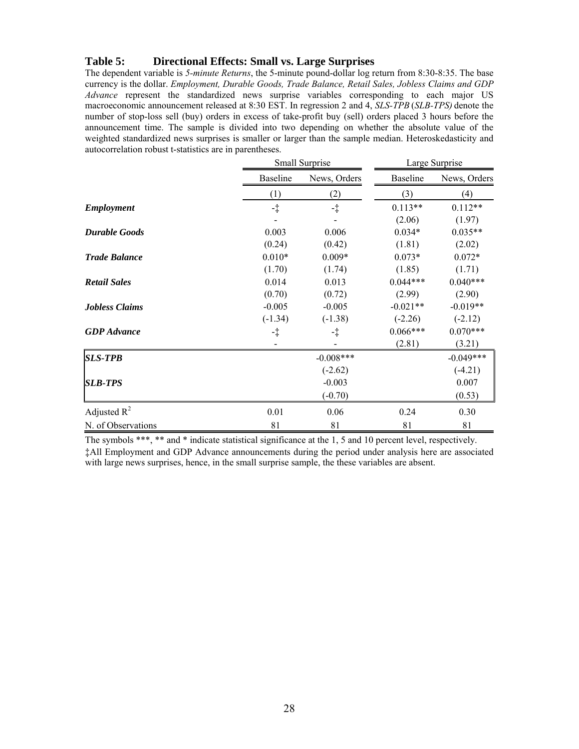### **Table 5: Directional Effects: Small vs. Large Surprises**

The dependent variable is *5-minute Returns*, the 5-minute pound-dollar log return from 8:30-8:35. The base currency is the dollar. *Employment, Durable Goods, Trade Balance, Retail Sales, Jobless Claims and GDP Advance* represent the standardized news surprise variables corresponding to each major US macroeconomic announcement released at 8:30 EST. In regression 2 and 4, *SLS-TPB* (*SLB-TPS)* denote the number of stop-loss sell (buy) orders in excess of take-profit buy (sell) orders placed 3 hours before the announcement time. The sample is divided into two depending on whether the absolute value of the weighted standardized news surprises is smaller or larger than the sample median. Heteroskedasticity and autocorrelation robust t-statistics are in parentheses.

|                       |                 | Small Surprise |                 | Large Surprise |
|-----------------------|-----------------|----------------|-----------------|----------------|
|                       | <b>Baseline</b> | News, Orders   | <b>Baseline</b> | News, Orders   |
|                       | (1)             | (2)            | (3)             | (4)            |
| <b>Employment</b>     | $\ddagger$      | $-1$           | $0.113**$       | $0.112**$      |
|                       |                 |                | (2.06)          | (1.97)         |
| <b>Durable Goods</b>  | 0.003           | 0.006          | $0.034*$        | $0.035**$      |
|                       | (0.24)          | (0.42)         | (1.81)          | (2.02)         |
| <b>Trade Balance</b>  | $0.010*$        | $0.009*$       | $0.073*$        | $0.072*$       |
|                       | (1.70)          | (1.74)         | (1.85)          | (1.71)         |
| <b>Retail Sales</b>   | 0.014           | 0.013          | $0.044***$      | $0.040***$     |
|                       | (0.70)          | (0.72)         | (2.99)          | (2.90)         |
| <b>Jobless Claims</b> | $-0.005$        | $-0.005$       | $-0.021**$      | $-0.019**$     |
|                       | $(-1.34)$       | $(-1.38)$      | $(-2.26)$       | $(-2.12)$      |
| <b>GDP</b> Advance    | -‡              | -‡             | $0.066***$      | $0.070***$     |
|                       |                 |                | (2.81)          | (3.21)         |
| <b>SLS-TPB</b>        |                 | $-0.008***$    |                 | $-0.049***$    |
|                       |                 | $(-2.62)$      |                 | $(-4.21)$      |
| <b>SLB-TPS</b>        |                 | $-0.003$       |                 | 0.007          |
|                       |                 | $(-0.70)$      |                 | (0.53)         |
| Adjusted $R^2$        | 0.01            | 0.06           | 0.24            | 0.30           |
| N. of Observations    | 81              | 81             | 81              | 81             |

The symbols \*\*\*, \*\* and \* indicate statistical significance at the 1, 5 and 10 percent level, respectively. ‡All Employment and GDP Advance announcements during the period under analysis here are associated with large news surprises, hence, in the small surprise sample, the these variables are absent.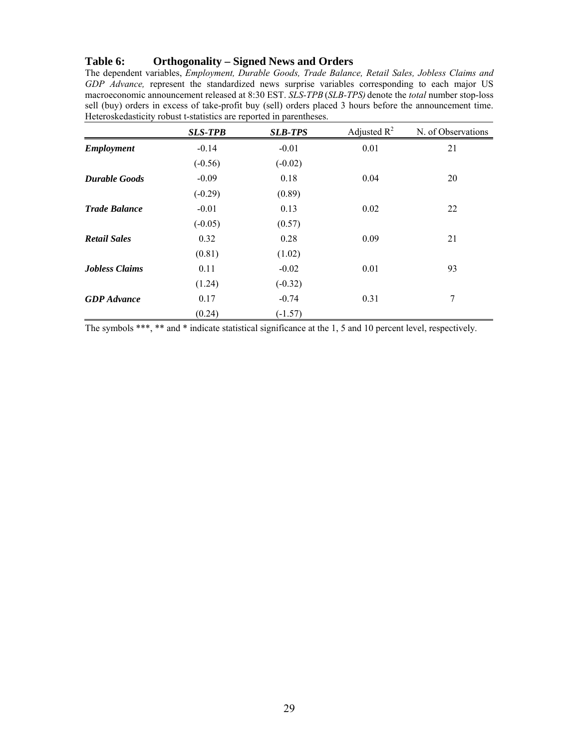### **Table 6: Orthogonality – Signed News and Orders**

The dependent variables, *Employment, Durable Goods, Trade Balance, Retail Sales, Jobless Claims and GDP Advance*, represent the standardized news surprise variables corresponding to each major US macroeconomic announcement released at 8:30 EST. *SLS-TPB* (*SLB-TPS)* denote the *total* number stop-loss sell (buy) orders in excess of take-profit buy (sell) orders placed 3 hours before the announcement time. Heteroskedasticity robust t-statistics are reported in parentheses.

|                       | <b>SLS-TPB</b> | <b>SLB-TPS</b> | Adjusted $R^2$ | N. of Observations |
|-----------------------|----------------|----------------|----------------|--------------------|
| <b>Employment</b>     | $-0.14$        | $-0.01$        | 0.01           | 21                 |
|                       | $(-0.56)$      | $(-0.02)$      |                |                    |
| <b>Durable Goods</b>  | $-0.09$        | 0.18           | 0.04           | 20                 |
|                       | $(-0.29)$      | (0.89)         |                |                    |
| <b>Trade Balance</b>  | $-0.01$        | 0.13           | 0.02           | 22                 |
|                       | $(-0.05)$      | (0.57)         |                |                    |
| <b>Retail Sales</b>   | 0.32           | 0.28           | 0.09           | 21                 |
|                       | (0.81)         | (1.02)         |                |                    |
| <b>Jobless Claims</b> | 0.11           | $-0.02$        | 0.01           | 93                 |
|                       | (1.24)         | $(-0.32)$      |                |                    |
| <b>GDP</b> Advance    | 0.17           | $-0.74$        | 0.31           | 7                  |
|                       | (0.24)         | $(-1.57)$      |                |                    |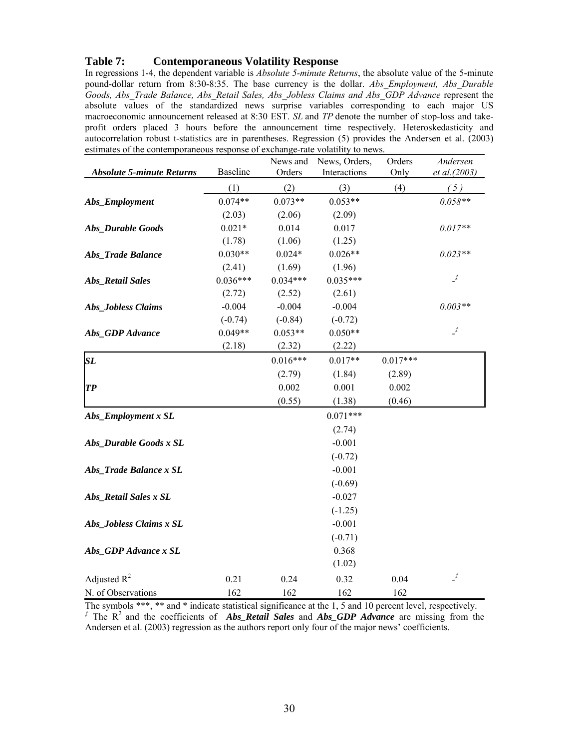### **Table 7: Contemporaneous Volatility Response**

In regressions 1-4, the dependent variable is *Absolute 5-minute Returns*, the absolute value of the 5-minute pound-dollar return from 8:30-8:35. The base currency is the dollar. *Abs\_Employment, Abs\_Durable Goods, Abs\_Trade Balance, Abs\_Retail Sales, Abs\_Jobless Claims and Abs\_GDP Advance* represent the absolute values of the standardized news surprise variables corresponding to each major US macroeconomic announcement released at 8:30 EST. *SL* and *TP* denote the number of stop-loss and takeprofit orders placed 3 hours before the announcement time respectively. Heteroskedasticity and autocorrelation robust t-statistics are in parentheses. Regression (5) provides the Andersen et al. (2003) estimates of the contemporaneous response of exchange-rate volatility to news.

|                                  |            | News and   | News, Orders, | Orders     | Andersen       |
|----------------------------------|------------|------------|---------------|------------|----------------|
| <b>Absolute 5-minute Returns</b> | Baseline   | Orders     | Interactions  | Only       | et al.(2003)   |
|                                  | (1)        | (2)        | (3)           | (4)        | (5)            |
| Abs_Employment                   | $0.074**$  | $0.073**$  | $0.053**$     |            | $0.058**$      |
|                                  | (2.03)     | (2.06)     | (2.09)        |            |                |
| Abs_Durable Goods                | $0.021*$   | 0.014      | 0.017         |            | $0.017**$      |
|                                  | (1.78)     | (1.06)     | (1.25)        |            |                |
| Abs_Trade Balance                | $0.030**$  | $0.024*$   | $0.026**$     |            | $0.023**$      |
|                                  | (2.41)     | (1.69)     | (1.96)        |            |                |
| <b>Abs_Retail Sales</b>          | $0.036***$ | $0.034***$ | $0.035***$    |            | $\cdot^f$      |
|                                  | (2.72)     | (2.52)     | (2.61)        |            |                |
| Abs_Jobless Claims               | $-0.004$   | $-0.004$   | $-0.004$      |            | $0.003**$      |
|                                  | $(-0.74)$  | $(-0.84)$  | $(-0.72)$     |            |                |
| Abs_GDP Advance                  | $0.049**$  | $0.053**$  | $0.050**$     |            | $\overline{f}$ |
|                                  | (2.18)     | (2.32)     | (2.22)        |            |                |
| SL                               |            | $0.016***$ | $0.017**$     | $0.017***$ |                |
|                                  |            | (2.79)     | (1.84)        | (2.89)     |                |
| <b>TP</b>                        |            | 0.002      | 0.001         | 0.002      |                |
|                                  |            | (0.55)     | (1.38)        | (0.46)     |                |
| Abs_Employment x SL              |            |            | $0.071***$    |            |                |
|                                  |            |            | (2.74)        |            |                |
| Abs_Durable Goods x SL           |            |            | $-0.001$      |            |                |
|                                  |            |            | $(-0.72)$     |            |                |
| Abs_Trade Balance x SL           |            |            | $-0.001$      |            |                |
|                                  |            |            | $(-0.69)$     |            |                |
| Abs_Retail Sales x SL            |            |            | $-0.027$      |            |                |
|                                  |            |            | $(-1.25)$     |            |                |
| Abs_Jobless Claims x SL          |            |            | $-0.001$      |            |                |
|                                  |            |            | $(-0.71)$     |            |                |
| Abs_GDP Advance x SL             |            |            | 0.368         |            |                |
|                                  |            |            | (1.02)        |            |                |
| Adjusted $R^2$                   | 0.21       | 0.24       | 0.32          | 0.04       | $\overline{f}$ |
| N. of Observations               | 162        | 162        | 162           | 162        |                |

The symbols \*\*\*, \*\* and \* indicate statistical significance at the 1, 5 and 10 percent level, respectively. *‡* The R2 and the coefficients of *Abs\_Retail Sales* and *Abs\_GDP Advance* are missing from the Andersen et al. (2003) regression as the authors report only four of the major news' coefficients.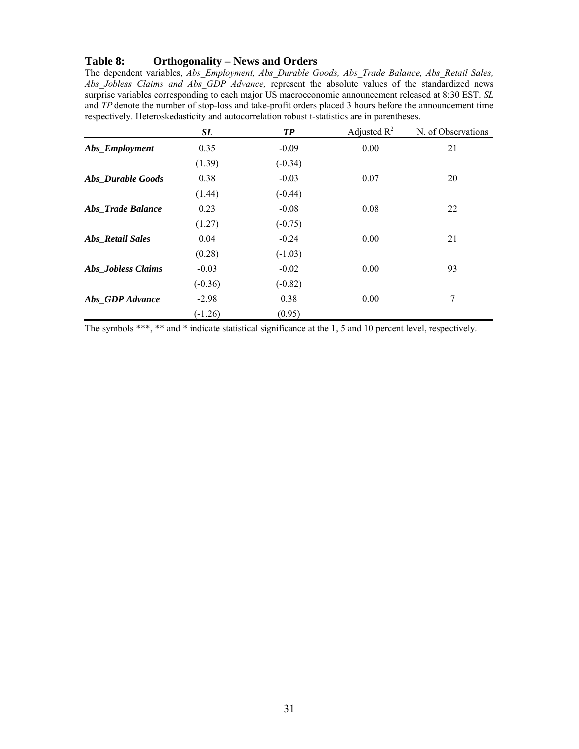#### **Table 8: Orthogonality – News and Orders**

The dependent variables, *Abs\_Employment, Abs\_Durable Goods, Abs\_Trade Balance, Abs\_Retail Sales, Abs\_Jobless Claims and Abs\_GDP Advance,* represent the absolute values of the standardized news surprise variables corresponding to each major US macroeconomic announcement released at 8:30 EST. *SL* and *TP* denote the number of stop-loss and take-profit orders placed 3 hours before the announcement time respectively. Heteroskedasticity and autocorrelation robust t-statistics are in parentheses.

|                          | SL        | TP        | Adjusted $R^2$ | N. of Observations |
|--------------------------|-----------|-----------|----------------|--------------------|
| Abs_Employment           | 0.35      | $-0.09$   | 0.00           | 21                 |
|                          | (1.39)    | $(-0.34)$ |                |                    |
| Abs Durable Goods        | 0.38      | $-0.03$   | 0.07           | 20                 |
|                          | (1.44)    | $(-0.44)$ |                |                    |
| <b>Abs_Trade Balance</b> | 0.23      | $-0.08$   | 0.08           | 22                 |
|                          | (1.27)    | $(-0.75)$ |                |                    |
| <b>Abs_Retail Sales</b>  | 0.04      | $-0.24$   | 0.00           | 21                 |
|                          | (0.28)    | $(-1.03)$ |                |                    |
| Abs_Jobless Claims       | $-0.03$   | $-0.02$   | 0.00           | 93                 |
|                          | $(-0.36)$ | $(-0.82)$ |                |                    |
| Abs_GDP Advance          | $-2.98$   | 0.38      | 0.00           | 7                  |
|                          | $(-1.26)$ | (0.95)    |                |                    |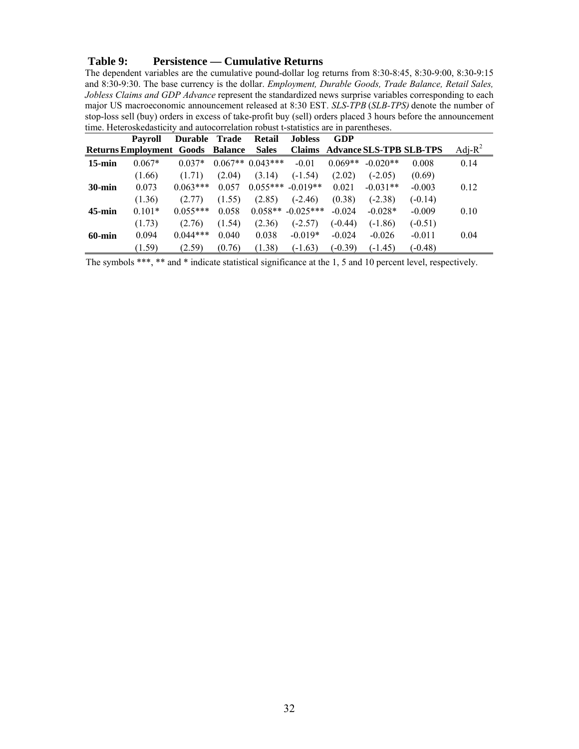#### **Table 9: Persistence — Cumulative Returns**

The dependent variables are the cumulative pound-dollar log returns from 8:30-8:45, 8:30-9:00, 8:30-9:15 and 8:30-9:30. The base currency is the dollar. *Employment, Durable Goods, Trade Balance, Retail Sales, Jobless Claims and GDP Advance* represent the standardized news surprise variables corresponding to each major US macroeconomic announcement released at 8:30 EST. *SLS-TPB* (*SLB-TPS)* denote the number of stop-loss sell (buy) orders in excess of take-profit buy (sell) orders placed 3 hours before the announcement time. Heteroskedasticity and autocorrelation robust t-statistics are in parentheses.

|           | Payroll                         | <b>Durable</b> | Trade          | <b>Retail</b>     | <b>Jobless</b>      | GDP       |            |                                       |            |
|-----------|---------------------------------|----------------|----------------|-------------------|---------------------|-----------|------------|---------------------------------------|------------|
|           | <b>Returns Employment Goods</b> |                | <b>Balance</b> | <b>Sales</b>      |                     |           |            | <b>Claims Advance SLS-TPB SLB-TPS</b> | Adj- $R^2$ |
| $15$ -min | $0.067*$                        | $0.037*$       |                | $0.067**0.043***$ | $-0.01$             | $0.069**$ | $-0.020**$ | 0.008                                 | 0.14       |
|           | (1.66)                          | (1.71)         | (2.04)         | (3.14)            | $(-1.54)$           | (2.02)    | $(-2.05)$  | (0.69)                                |            |
| $30$ -min | 0.073                           | $0.063***$     | 0.057          |                   | $0.055***$ -0.019** | 0.021     | $-0.031**$ | $-0.003$                              | 0.12       |
|           | (1.36)                          | (2.77)         | (1.55)         | (2.85)            | $(-2.46)$           | (0.38)    | $(-2.38)$  | $(-0.14)$                             |            |
| $45$ -min | $0.101*$                        | $0.055***$     | 0.058          |                   | $0.058** -0.025***$ | $-0.024$  | $-0.028*$  | $-0.009$                              | 0.10       |
|           | (1.73)                          | (2.76)         | (1.54)         | (2.36)            | $(-2.57)$           | $(-0.44)$ | $(-1.86)$  | $(-0.51)$                             |            |
| $60$ -min | 0.094                           | $0.044***$     | 0.040          | 0.038             | $-0.019*$           | $-0.024$  | $-0.026$   | $-0.011$                              | 0.04       |
|           | (1.59)                          | (2.59)         | (0.76)         | (1.38)            | $(-1.63)$           | $(-0.39)$ | $(-1.45)$  | $(-0.48)$                             |            |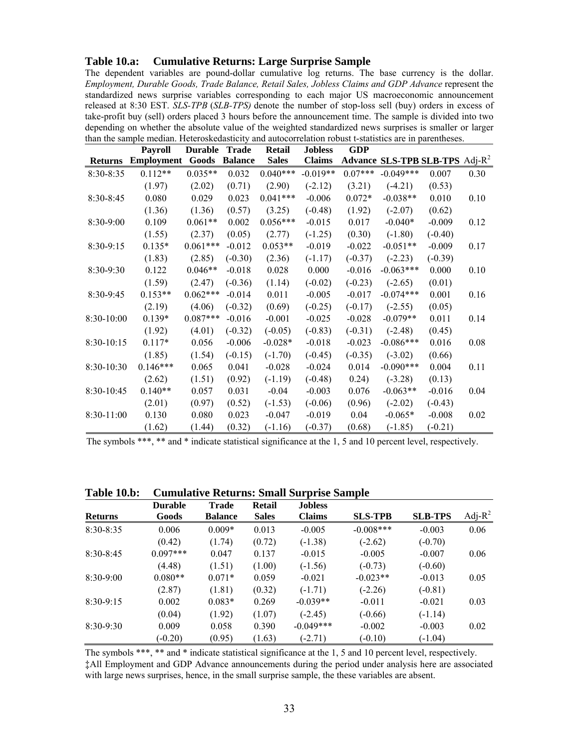#### **Table 10.a: Cumulative Returns: Large Surprise Sample**

The dependent variables are pound-dollar cumulative log returns. The base currency is the dollar. *Employment, Durable Goods, Trade Balance, Retail Sales, Jobless Claims and GDP Advance* represent the standardized news surprise variables corresponding to each major US macroeconomic announcement released at 8:30 EST. *SLS-TPB* (*SLB-TPS)* denote the number of stop-loss sell (buy) orders in excess of take-profit buy (sell) orders placed 3 hours before the announcement time. The sample is divided into two depending on whether the absolute value of the weighted standardized news surprises is smaller or larger than the sample median. Heteroskedasticity and autocorrelation robust t-statistics are in parentheses.

|                | <b>Payroll</b>    | <b>Durable</b> | Trade          | <b>Retail</b> | <b>Jobless</b> | <b>GDP</b> |             |                                   |      |
|----------------|-------------------|----------------|----------------|---------------|----------------|------------|-------------|-----------------------------------|------|
| <b>Returns</b> | <b>Employment</b> | Goods          | <b>Balance</b> | <b>Sales</b>  | <b>Claims</b>  |            |             | Advance SLS-TPB SLB-TPS $Adj-R^2$ |      |
| $8:30-8:35$    | $0.112**$         | $0.035**$      | 0.032          | $0.040***$    | $-0.019**$     | $0.07***$  | $-0.049***$ | 0.007                             | 0.30 |
|                | (1.97)            | (2.02)         | (0.71)         | (2.90)        | $(-2.12)$      | (3.21)     | $(-4.21)$   | (0.53)                            |      |
| $8:30-8:45$    | 0.080             | 0.029          | 0.023          | $0.041***$    | $-0.006$       | $0.072*$   | $-0.038**$  | 0.010                             | 0.10 |
|                | (1.36)            | (1.36)         | (0.57)         | (3.25)        | $(-0.48)$      | (1.92)     | $(-2.07)$   | (0.62)                            |      |
| 8:30-9:00      | 0.109             | $0.061**$      | 0.002          | $0.056***$    | $-0.015$       | 0.017      | $-0.040*$   | $-0.009$                          | 0.12 |
|                | (1.55)            | (2.37)         | (0.05)         | (2.77)        | $(-1.25)$      | (0.30)     | $(-1.80)$   | $(-0.40)$                         |      |
| 8:30-9:15      | $0.135*$          | $0.061***$     | $-0.012$       | $0.053**$     | $-0.019$       | $-0.022$   | $-0.051**$  | $-0.009$                          | 0.17 |
|                | (1.83)            | (2.85)         | $(-0.30)$      | (2.36)        | $(-1.17)$      | $(-0.37)$  | $(-2.23)$   | $(-0.39)$                         |      |
| 8:30-9:30      | 0.122             | $0.046**$      | $-0.018$       | 0.028         | 0.000          | $-0.016$   | $-0.063***$ | 0.000                             | 0.10 |
|                | (1.59)            | (2.47)         | $(-0.36)$      | (1.14)        | $(-0.02)$      | $(-0.23)$  | $(-2.65)$   | (0.01)                            |      |
| 8:30-9:45      | $0.153**$         | $0.062***$     | $-0.014$       | 0.011         | $-0.005$       | $-0.017$   | $-0.074***$ | 0.001                             | 0.16 |
|                | (2.19)            | (4.06)         | $(-0.32)$      | (0.69)        | $(-0.25)$      | $(-0.17)$  | $(-2.55)$   | (0.05)                            |      |
| 8:30-10:00     | $0.139*$          | $0.087***$     | $-0.016$       | $-0.001$      | $-0.025$       | $-0.028$   | $-0.079**$  | 0.011                             | 0.14 |
|                | (1.92)            | (4.01)         | $(-0.32)$      | $(-0.05)$     | $(-0.83)$      | $(-0.31)$  | $(-2.48)$   | (0.45)                            |      |
| 8:30-10:15     | $0.117*$          | 0.056          | $-0.006$       | $-0.028*$     | $-0.018$       | $-0.023$   | $-0.086***$ | 0.016                             | 0.08 |
|                | (1.85)            | (1.54)         | $(-0.15)$      | $(-1.70)$     | $(-0.45)$      | $(-0.35)$  | $(-3.02)$   | (0.66)                            |      |
| 8:30-10:30     | $0.146***$        | 0.065          | 0.041          | $-0.028$      | $-0.024$       | 0.014      | $-0.090***$ | 0.004                             | 0.11 |
|                | (2.62)            | (1.51)         | (0.92)         | $(-1.19)$     | $(-0.48)$      | 0.24)      | $(-3.28)$   | (0.13)                            |      |
| 8:30-10:45     | $0.140**$         | 0.057          | 0.031          | $-0.04$       | $-0.003$       | 0.076      | $-0.063**$  | $-0.016$                          | 0.04 |
|                | (2.01)            | (0.97)         | (0.52)         | $(-1.53)$     | $(-0.06)$      | (0.96)     | $(-2.02)$   | $(-0.43)$                         |      |
| $8:30-11:00$   | 0.130             | 0.080          | 0.023          | $-0.047$      | $-0.019$       | 0.04       | $-0.065*$   | $-0.008$                          | 0.02 |
|                | (1.62)            | (1.44)         | (0.32)         | $(-1.16)$     | $(-0.37)$      | (0.68)     | $(-1.85)$   | $(-0.21)$                         |      |

The symbols \*\*\*, \*\* and \* indicate statistical significance at the 1, 5 and 10 percent level, respectively.

#### **Table 10.b: Cumulative Returns: Small Surprise Sample**

|                | <b>Durable</b> | Trade          | Retail       | <b>Jobless</b> |                |                |            |
|----------------|----------------|----------------|--------------|----------------|----------------|----------------|------------|
| <b>Returns</b> | Goods          | <b>Balance</b> | <b>Sales</b> | <b>Claims</b>  | <b>SLS-TPB</b> | <b>SLB-TPS</b> | Adj- $R^2$ |
| $8:30-8:35$    | 0.006          | $0.009*$       | 0.013        | $-0.005$       | $-0.008***$    | $-0.003$       | 0.06       |
|                | (0.42)         | (1.74)         | (0.72)       | $(-1.38)$      | $(-2.62)$      | $(-0.70)$      |            |
| $8:30-8:45$    | $0.097***$     | 0.047          | 0.137        | $-0.015$       | $-0.005$       | $-0.007$       | 0.06       |
|                | (4.48)         | (1.51)         | (1.00)       | $(-1.56)$      | $(-0.73)$      | $(-0.60)$      |            |
| $8:30-9:00$    | $0.080**$      | $0.071*$       | 0.059        | $-0.021$       | $-0.023**$     | $-0.013$       | 0.05       |
|                | (2.87)         | (1.81)         | (0.32)       | $(-1.71)$      | $(-2.26)$      | $(-0.81)$      |            |
| $8:30-9:15$    | 0.002          | $0.083*$       | 0.269        | $-0.039**$     | $-0.011$       | $-0.021$       | 0.03       |
|                | (0.04)         | (1.92)         | (1.07)       | $(-2.45)$      | $(-0.66)$      | $(-1.14)$      |            |
| $8:30-9:30$    | 0.009          | 0.058          | 0.390        | $-0.049***$    | $-0.002$       | $-0.003$       | 0.02       |
|                | $(-0.20)$      | (0.95)         | (1.63)       | $(-2.71)$      | $(-0.10)$      | $(-1.04)$      |            |

The symbols \*\*\*, \*\* and \* indicate statistical significance at the 1, 5 and 10 percent level, respectively. ‡All Employment and GDP Advance announcements during the period under analysis here are associated with large news surprises, hence, in the small surprise sample, the these variables are absent.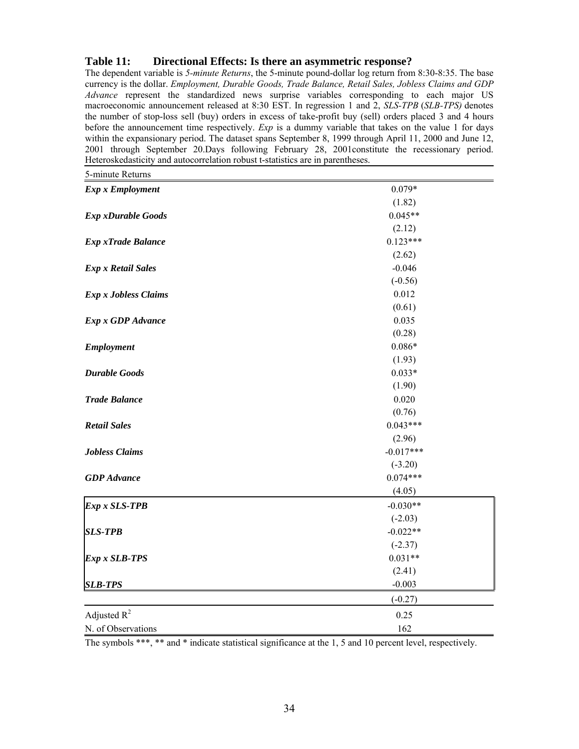# **Table 11: Directional Effects: Is there an asymmetric response?**

The dependent variable is *5-minute Returns*, the 5-minute pound-dollar log return from 8:30-8:35. The base currency is the dollar. *Employment, Durable Goods, Trade Balance, Retail Sales, Jobless Claims and GDP Advance* represent the standardized news surprise variables corresponding to each major US macroeconomic announcement released at 8:30 EST. In regression 1 and 2, *SLS-TPB* (*SLB-TPS)* denotes the number of stop-loss sell (buy) orders in excess of take-profit buy (sell) orders placed 3 and 4 hours before the announcement time respectively. *Exp* is a dummy variable that takes on the value 1 for days within the expansionary period. The dataset spans September 8, 1999 through April 11, 2000 and June 12, 2001 through September 20.Days following February 28, 2001constitute the recessionary period. Heteroskedasticity and autocorrelation robust t-statistics are in parentheses.

| 5-minute Returns          |             |
|---------------------------|-------------|
| <b>Exp x Employment</b>   | $0.079*$    |
|                           | (1.82)      |
| <b>Exp xDurable Goods</b> | $0.045**$   |
|                           | (2.12)      |
| <b>Exp xTrade Balance</b> | $0.123***$  |
|                           | (2.62)      |
| <b>Exp x Retail Sales</b> | $-0.046$    |
|                           | $(-0.56)$   |
| Exp x Jobless Claims      | 0.012       |
|                           | (0.61)      |
| <b>Exp x GDP</b> Advance  | 0.035       |
|                           | (0.28)      |
| <b>Employment</b>         | $0.086*$    |
|                           | (1.93)      |
| <b>Durable Goods</b>      | $0.033*$    |
|                           | (1.90)      |
| <b>Trade Balance</b>      | 0.020       |
|                           | (0.76)      |
| <b>Retail Sales</b>       | $0.043***$  |
|                           | (2.96)      |
| <b>Jobless Claims</b>     | $-0.017***$ |
|                           | $(-3.20)$   |
| <b>GDP</b> Advance        | $0.074***$  |
|                           | (4.05)      |
| Exp x SLS-TPB             | $-0.030**$  |
|                           | $(-2.03)$   |
| <b>SLS-TPB</b>            | $-0.022**$  |
|                           | $(-2.37)$   |
| Exp x SLB-TPS             | $0.031**$   |
|                           | (2.41)      |
| <b>SLB-TPS</b>            | $-0.003$    |
|                           | $(-0.27)$   |
| Adjusted $R^2$            | 0.25        |
| N. of Observations        | 162         |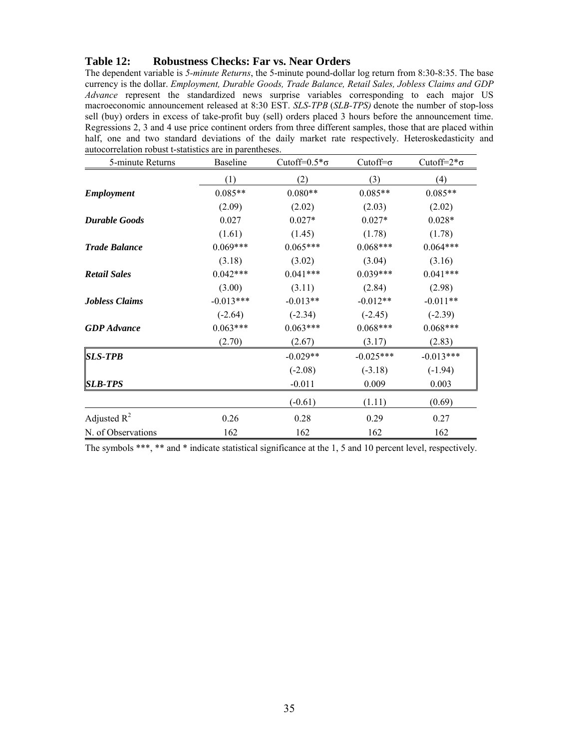#### **Table 12: Robustness Checks: Far vs. Near Orders**

The dependent variable is *5-minute Returns*, the 5-minute pound-dollar log return from 8:30-8:35. The base currency is the dollar. *Employment, Durable Goods, Trade Balance, Retail Sales, Jobless Claims and GDP Advance* represent the standardized news surprise variables corresponding to each major US macroeconomic announcement released at 8:30 EST. *SLS-TPB* (*SLB-TPS)* denote the number of stop-loss sell (buy) orders in excess of take-profit buy (sell) orders placed 3 hours before the announcement time. Regressions 2, 3 and 4 use price continent orders from three different samples, those that are placed within half, one and two standard deviations of the daily market rate respectively. Heteroskedasticity and autocorrelation robust t-statistics are in parentheses.

| 5-minute Returns      | <b>Baseline</b> | Cutoff= $0.5^* \sigma$ | Cutoff= $\sigma$ | Cutoff= $2*\sigma$ |
|-----------------------|-----------------|------------------------|------------------|--------------------|
|                       | (1)             | (2)                    | (3)              | (4)                |
| <b>Employment</b>     | $0.085**$       | $0.080**$              | $0.085**$        | $0.085**$          |
|                       | (2.09)          | (2.02)                 | (2.03)           | (2.02)             |
| <b>Durable Goods</b>  | 0.027           | $0.027*$               | $0.027*$         | $0.028*$           |
|                       | (1.61)          | (1.45)                 | (1.78)           | (1.78)             |
| <b>Trade Balance</b>  | $0.069***$      | $0.065***$             | $0.068***$       | $0.064***$         |
|                       | (3.18)          | (3.02)                 | (3.04)           | (3.16)             |
| <b>Retail Sales</b>   | $0.042***$      | $0.041***$             | $0.039***$       | $0.041***$         |
|                       | (3.00)          | (3.11)                 | (2.84)           | (2.98)             |
| <b>Jobless Claims</b> | $-0.013***$     | $-0.013**$             | $-0.012**$       | $-0.011**$         |
|                       | $(-2.64)$       | $(-2.34)$              | $(-2.45)$        | $(-2.39)$          |
| <b>GDP</b> Advance    | $0.063***$      | $0.063***$             | $0.068***$       | $0.068***$         |
|                       | (2.70)          | (2.67)                 | (3.17)           | (2.83)             |
| <b>SLS-TPB</b>        |                 | $-0.029**$             | $-0.025***$      | $-0.013***$        |
|                       |                 | $(-2.08)$              | $(-3.18)$        | $(-1.94)$          |
| <b>SLB-TPS</b>        |                 | $-0.011$               | 0.009            | 0.003              |
|                       |                 | $(-0.61)$              | (1.11)           | (0.69)             |
| Adjusted $R^2$        | 0.26            | 0.28                   | 0.29             | 0.27               |
| N. of Observations    | 162             | 162                    | 162              | 162                |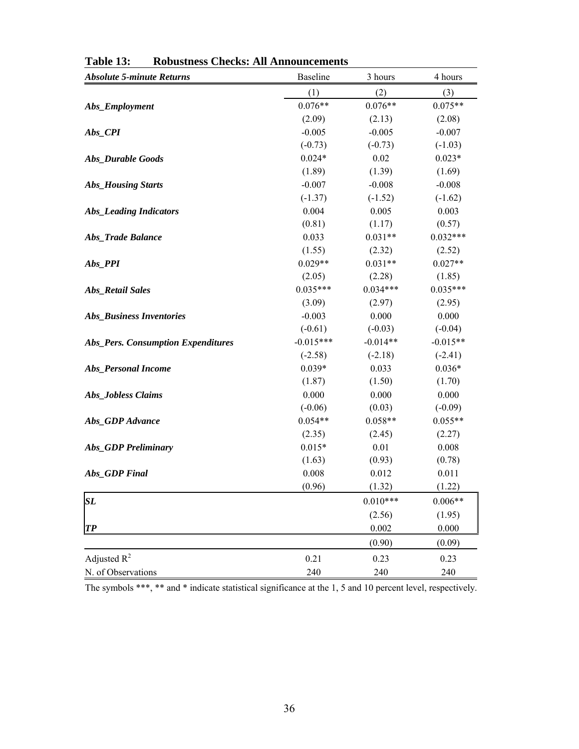| <b>Absolute 5-minute Returns</b>          | Baseline    | 3 hours    | 4 hours    |
|-------------------------------------------|-------------|------------|------------|
|                                           | (1)         | (2)        | (3)        |
| Abs_Employment                            | $0.076**$   | $0.076**$  | $0.075**$  |
|                                           | (2.09)      | (2.13)     | (2.08)     |
| Abs_CPI                                   | $-0.005$    | $-0.005$   | $-0.007$   |
|                                           | $(-0.73)$   | $(-0.73)$  | $(-1.03)$  |
| <b>Abs_Durable Goods</b>                  | $0.024*$    | 0.02       | $0.023*$   |
|                                           | (1.89)      | (1.39)     | (1.69)     |
| <b>Abs_Housing Starts</b>                 | $-0.007$    | $-0.008$   | $-0.008$   |
|                                           | $(-1.37)$   | $(-1.52)$  | $(-1.62)$  |
| <b>Abs_Leading Indicators</b>             | 0.004       | 0.005      | 0.003      |
|                                           | (0.81)      | (1.17)     | (0.57)     |
| Abs_Trade Balance                         | 0.033       | $0.031**$  | $0.032***$ |
|                                           | (1.55)      | (2.32)     | (2.52)     |
| Abs_PPI                                   | $0.029**$   | $0.031**$  | $0.027**$  |
|                                           | (2.05)      | (2.28)     | (1.85)     |
| <b>Abs_Retail Sales</b>                   | $0.035***$  | $0.034***$ | $0.035***$ |
|                                           | (3.09)      | (2.97)     | (2.95)     |
| <b>Abs_Business Inventories</b>           | $-0.003$    | 0.000      | 0.000      |
|                                           | $(-0.61)$   | $(-0.03)$  | $(-0.04)$  |
| <b>Abs_Pers. Consumption Expenditures</b> | $-0.015***$ | $-0.014**$ | $-0.015**$ |
|                                           | $(-2.58)$   | $(-2.18)$  | $(-2.41)$  |
| Abs_Personal Income                       | $0.039*$    | 0.033      | $0.036*$   |
|                                           | (1.87)      | (1.50)     | (1.70)     |
| Abs_Jobless Claims                        | 0.000       | 0.000      | 0.000      |
|                                           | $(-0.06)$   | (0.03)     | $(-0.09)$  |
| Abs_GDP Advance                           | $0.054**$   | $0.058**$  | $0.055**$  |
|                                           | (2.35)      | (2.45)     | (2.27)     |
| <b>Abs_GDP</b> Preliminary                | $0.015*$    | 0.01       | 0.008      |
|                                           | (1.63)      | (0.93)     | (0.78)     |
| Abs_GDP Final                             | 0.008       | 0.012      | 0.011      |
|                                           | (0.96)      | (1.32)     | (1.22)     |
| SL                                        |             | $0.010***$ | $0.006**$  |
|                                           |             | (2.56)     | (1.95)     |
| $\boldsymbol{TP}$                         |             | 0.002      | 0.000      |
|                                           |             | (0.90)     | (0.09)     |
| Adjusted $R^2$                            | 0.21        | 0.23       | 0.23       |
| N. of Observations                        | 240         | 240        | 240        |

**Table 13: Robustness Checks: All Announcements**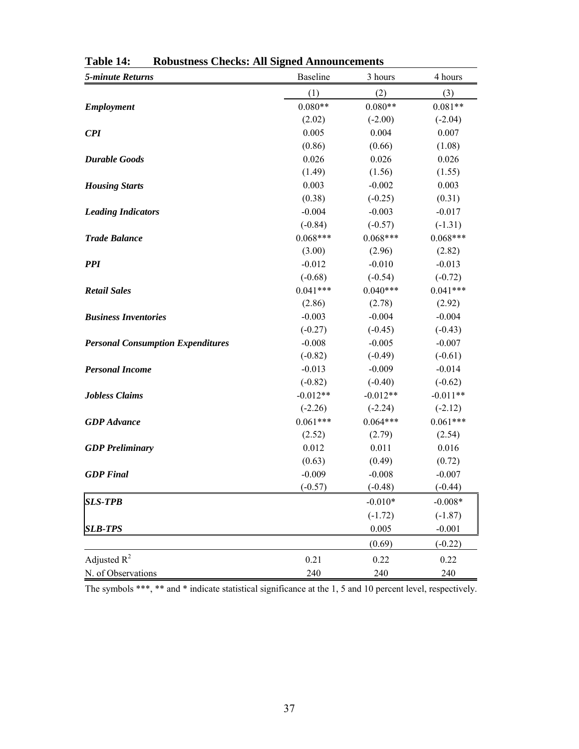| <b>5-minute Returns</b>                  | <b>Baseline</b> | 3 hours    | 4 hours    |
|------------------------------------------|-----------------|------------|------------|
|                                          | (1)             | (2)        | (3)        |
| <b>Employment</b>                        | $0.080**$       | $0.080**$  | $0.081**$  |
|                                          | (2.02)          | $(-2.00)$  | $(-2.04)$  |
| <b>CPI</b>                               | 0.005           | 0.004      | 0.007      |
|                                          | (0.86)          | (0.66)     | (1.08)     |
| <b>Durable Goods</b>                     | 0.026           | 0.026      | 0.026      |
|                                          | (1.49)          | (1.56)     | (1.55)     |
| <b>Housing Starts</b>                    | 0.003           | $-0.002$   | 0.003      |
|                                          | (0.38)          | $(-0.25)$  | (0.31)     |
| <b>Leading Indicators</b>                | $-0.004$        | $-0.003$   | $-0.017$   |
|                                          | $(-0.84)$       | $(-0.57)$  | $(-1.31)$  |
| <b>Trade Balance</b>                     | $0.068***$      | $0.068***$ | $0.068***$ |
|                                          | (3.00)          | (2.96)     | (2.82)     |
| <b>PPI</b>                               | $-0.012$        | $-0.010$   | $-0.013$   |
|                                          | $(-0.68)$       | $(-0.54)$  | $(-0.72)$  |
| <b>Retail Sales</b>                      | $0.041***$      | $0.040***$ | $0.041***$ |
|                                          | (2.86)          | (2.78)     | (2.92)     |
| <b>Business Inventories</b>              | $-0.003$        | $-0.004$   | $-0.004$   |
|                                          | $(-0.27)$       | $(-0.45)$  | $(-0.43)$  |
| <b>Personal Consumption Expenditures</b> | $-0.008$        | $-0.005$   | $-0.007$   |
|                                          | $(-0.82)$       | $(-0.49)$  | $(-0.61)$  |
| <b>Personal Income</b>                   | $-0.013$        | $-0.009$   | $-0.014$   |
|                                          | $(-0.82)$       | $(-0.40)$  | $(-0.62)$  |
| <b>Jobless Claims</b>                    | $-0.012**$      | $-0.012**$ | $-0.011**$ |
|                                          | $(-2.26)$       | $(-2.24)$  | $(-2.12)$  |
| <b>GDP</b> Advance                       | $0.061***$      | $0.064***$ | $0.061***$ |
|                                          | (2.52)          | (2.79)     | (2.54)     |
| <b>GDP</b> Preliminary                   | 0.012           | 0.011      | 0.016      |
|                                          | (0.63)          | (0.49)     | (0.72)     |
| <b>GDP</b> Final                         | $-0.009$        | $-0.008$   | $-0.007$   |
|                                          | $(-0.57)$       | $(-0.48)$  | $(-0.44)$  |
| <b>SLS-TPB</b>                           |                 | $-0.010*$  | $-0.008*$  |
|                                          |                 | $(-1.72)$  | $(-1.87)$  |
| <b>SLB-TPS</b>                           |                 | 0.005      | $-0.001$   |
|                                          |                 | (0.69)     | $(-0.22)$  |
| Adjusted $R^2$                           | 0.21            | 0.22       | 0.22       |
| N. of Observations                       | 240             | 240        | 240        |

**Table 14: Robustness Checks: All Signed Announcements**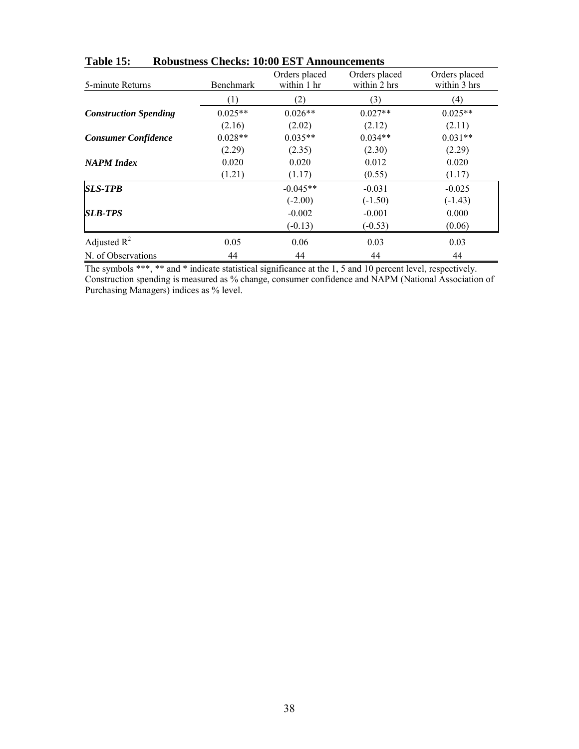| 5-minute Returns             | Benchmark | Orders placed<br>within 1 hr | Orders placed<br>within 2 hrs | Orders placed<br>within 3 hrs |
|------------------------------|-----------|------------------------------|-------------------------------|-------------------------------|
|                              | (1)       | (2)                          | (3)                           | (4)                           |
| <b>Construction Spending</b> | $0.025**$ | $0.026**$                    | $0.027**$                     | $0.025**$                     |
|                              | (2.16)    | (2.02)                       | (2.12)                        | (2.11)                        |
| <b>Consumer Confidence</b>   | $0.028**$ | $0.035**$                    | $0.034**$                     | $0.031**$                     |
|                              | (2.29)    | (2.35)                       | (2.30)                        | (2.29)                        |
| <b>NAPM</b> Index            | 0.020     | 0.020                        | 0.012                         | 0.020                         |
|                              | (1.21)    | (1.17)                       | (0.55)                        | (1.17)                        |
| <b>SLS-TPB</b>               |           | $-0.045**$                   | $-0.031$                      | $-0.025$                      |
|                              |           | $(-2.00)$                    | $(-1.50)$                     | $(-1.43)$                     |
| <b>SLB-TPS</b>               |           | $-0.002$                     | $-0.001$                      | 0.000                         |
|                              |           | $(-0.13)$                    | $(-0.53)$                     | (0.06)                        |
| Adjusted $R^2$               | 0.05      | 0.06                         | 0.03                          | 0.03                          |
| N. of Observations           | 44        | 44                           | 44                            | 44                            |

**Table 15: Robustness Checks: 10:00 EST Announcements** 

The symbols \*\*\*, \*\* and \* indicate statistical significance at the 1, 5 and 10 percent level, respectively. Construction spending is measured as % change, consumer confidence and NAPM (National Association of Purchasing Managers) indices as % level.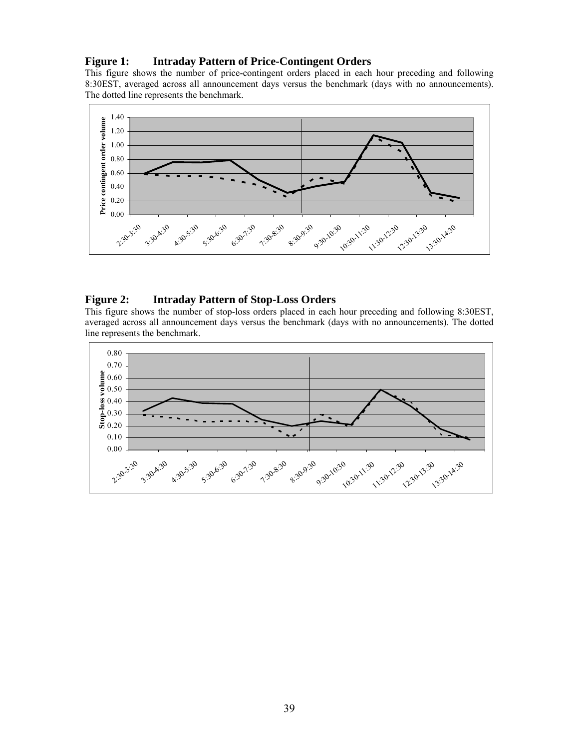# **Figure 1: Intraday Pattern of Price-Contingent Orders**

This figure shows the number of price-contingent orders placed in each hour preceding and following 8:30EST, averaged across all announcement days versus the benchmark (days with no announcements). The dotted line represents the benchmark.



# **Figure 2: Intraday Pattern of Stop-Loss Orders**

This figure shows the number of stop-loss orders placed in each hour preceding and following 8:30EST, averaged across all announcement days versus the benchmark (days with no announcements). The dotted line represents the benchmark.

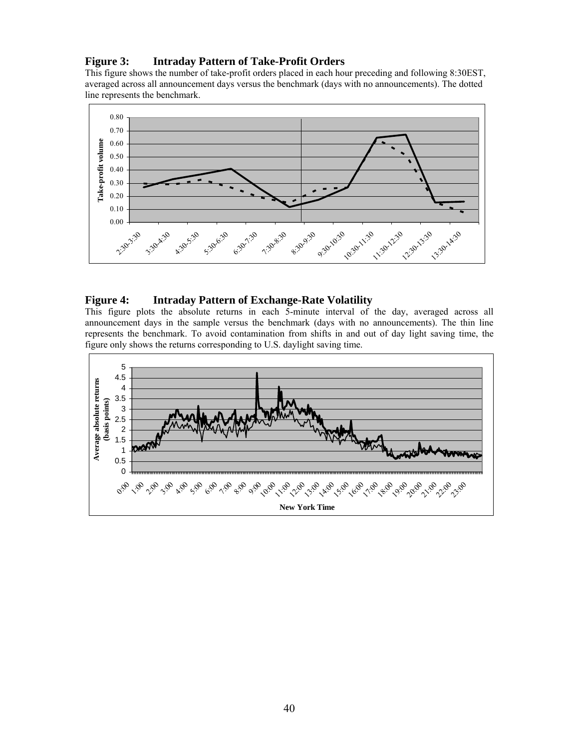# **Figure 3: Intraday Pattern of Take-Profit Orders**

This figure shows the number of take-profit orders placed in each hour preceding and following 8:30EST, averaged across all announcement days versus the benchmark (days with no announcements). The dotted line represents the benchmark.



### **Figure 4: Intraday Pattern of Exchange-Rate Volatility**

This figure plots the absolute returns in each 5-minute interval of the day, averaged across all announcement days in the sample versus the benchmark (days with no announcements). The thin line represents the benchmark. To avoid contamination from shifts in and out of day light saving time, the figure only shows the returns corresponding to U.S. daylight saving time.

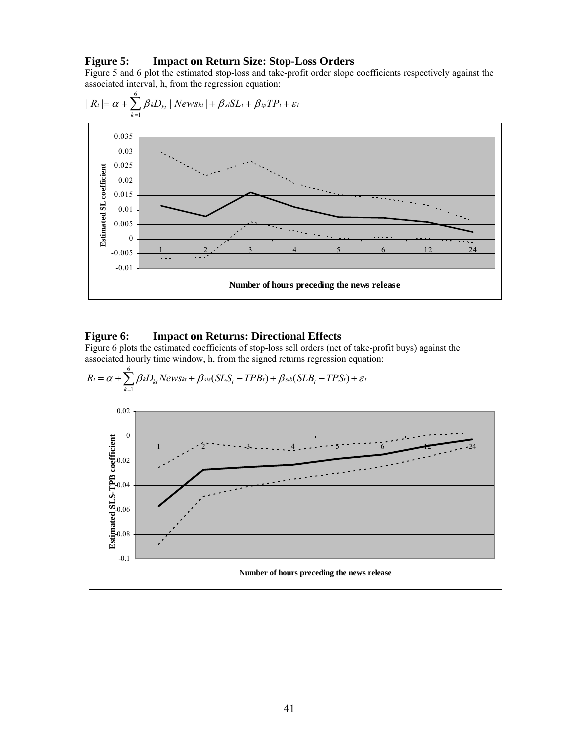#### **Figure 5: Impact on Return Size: Stop-Loss Orders**

Figure 5 and 6 plot the estimated stop-loss and take-profit order slope coefficients respectively against the associated interval, h, from the regression equation:



#### **Figure 6: Impact on Returns: Directional Effects**

Figure 6 plots the estimated coefficients of stop-loss sell orders (net of take-profit buys) against the associated hourly time window, h, from the signed returns regression equation:

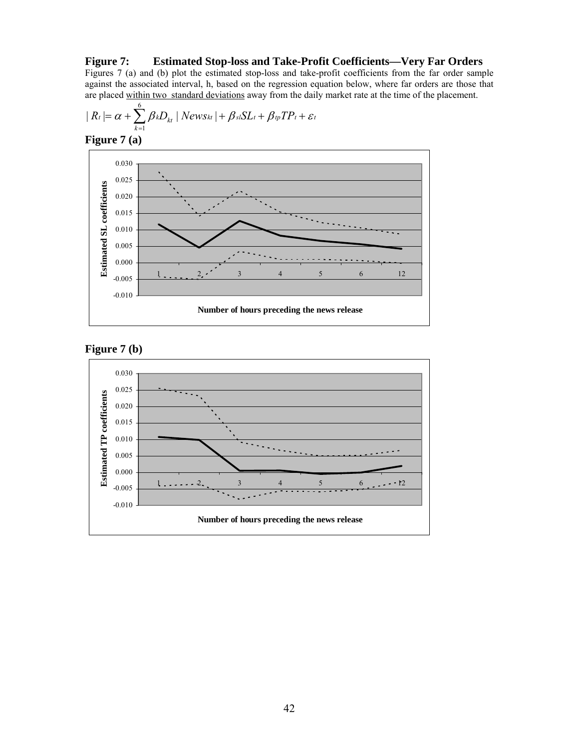**Figure 7: Estimated Stop-loss and Take-Profit Coefficients—Very Far Orders** Figures 7 (a) and (b) plot the estimated stop-loss and take-profit coefficients from the far order sample against the associated interval, h, based on the regression equation below, where far orders are those that are placed within two standard deviations away from the daily market rate at the time of the placement.

$$
| R_{t} | = \alpha + \sum_{k=1}^{6} \beta_{k} D_{kt} | News_{kt} | + \beta_{sl} SL_{t} + \beta_{tp} TP_{t} + \varepsilon_{t}
$$







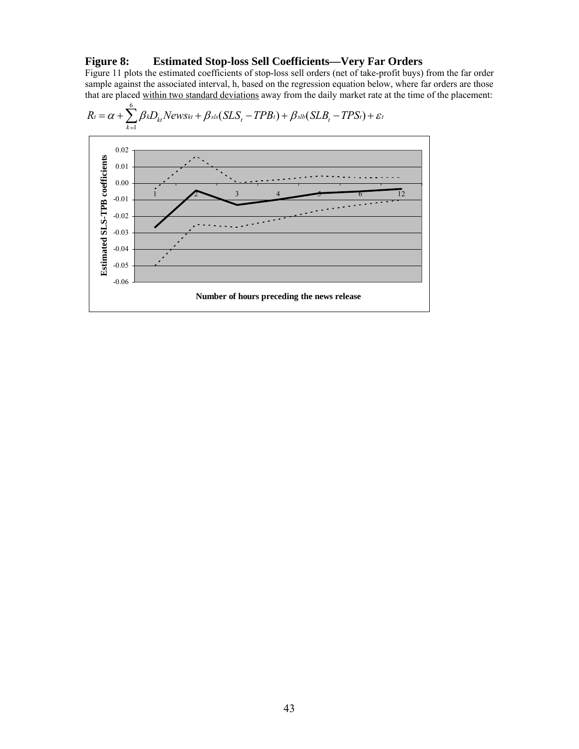# **Figure 8: Estimated Stop-loss Sell Coefficients—Very Far Orders**

Figure 11 plots the estimated coefficients of stop-loss sell orders (net of take-profit buys) from the far order sample against the associated interval, h, based on the regression equation below, where far orders are those that are placed within two standard deviations away from the daily market rate at the time of the placement:

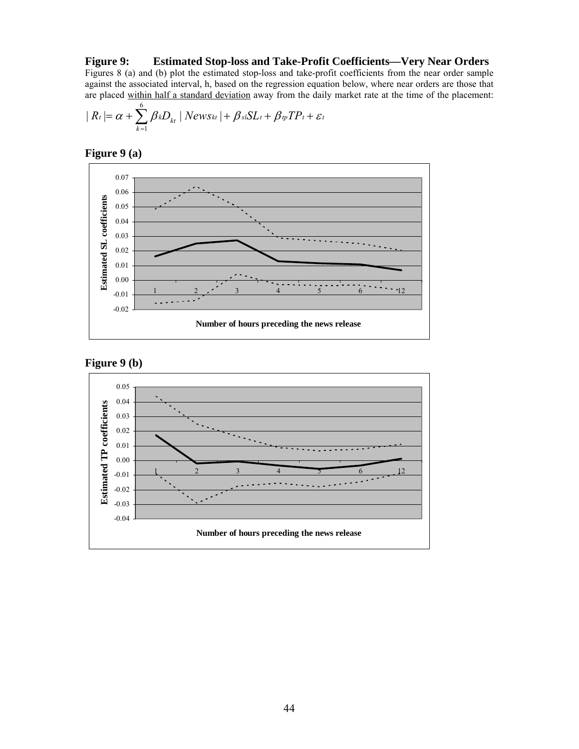**Figure 9: Estimated Stop-loss and Take-Profit Coefficients—Very Near Orders**  Figures 8 (a) and (b) plot the estimated stop-loss and take-profit coefficients from the near order sample against the associated interval, h, based on the regression equation below, where near orders are those that are placed within half a standard deviation away from the daily market rate at the time of the placement:

$$
| R_t | = \alpha + \sum_{k=1}^{6} \beta_k D_{kt} | NewSt_t | + \beta_{sl} SL_t + \beta_{tp} TP_t + \varepsilon_t
$$